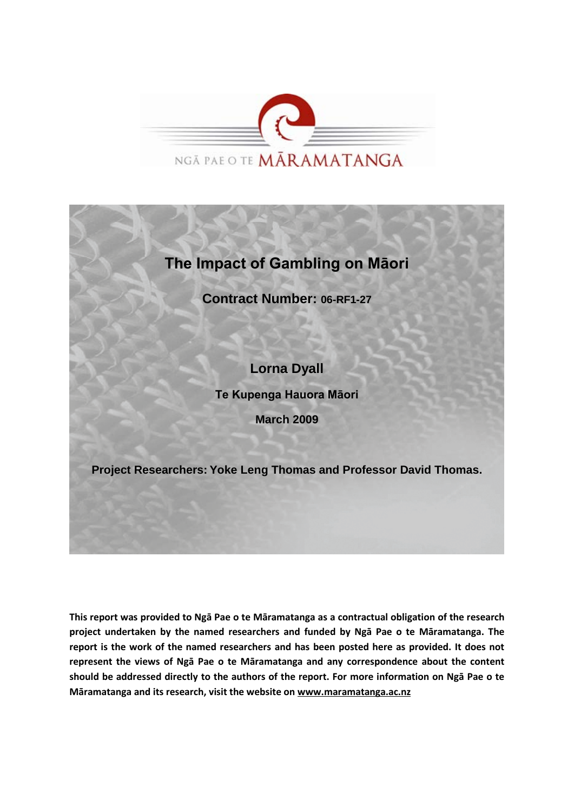

# **The Impact of Gambling on Māori**

**Contract Number: 06-RF1-27**

## **Lorna Dyall**

**Te Kupenga Hauora Māori**

**March 2009**

**Project Researchers: Yoke Leng Thomas and Professor David Thomas.**

**This report was provided to Ngā Pae o te Māramatanga as a contractual obligation of the research project undertaken by the named researchers and funded by Ngā Pae o te Māramatanga. The report is the work of the named researchers and has been posted here as provided. It does not represent the views of Ngā Pae o te Māramatanga and any correspondence about the content should be addressed directly to the authors of the report. For more information on Ngā Pae o te Māramatanga and its research, visit the website o[n www.maramatanga.ac.nz](http://www.maramatanga.ac.nz/)**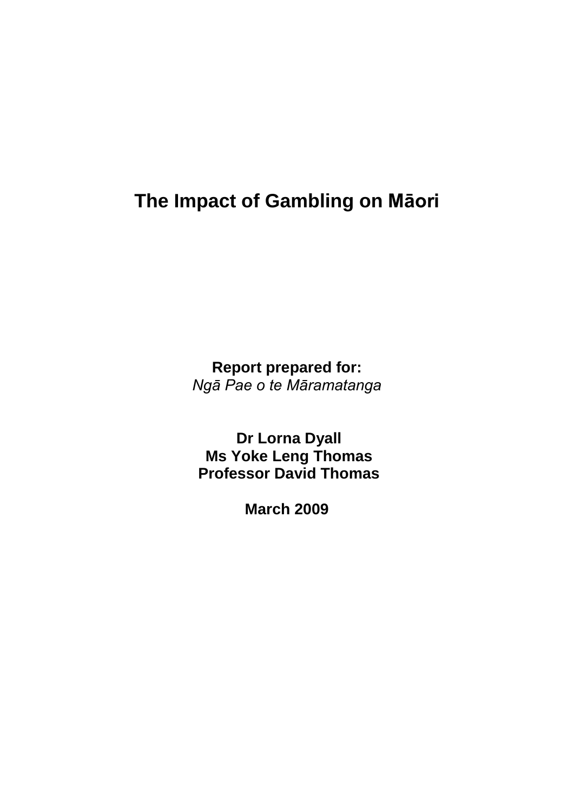# **The Impact of Gambling on Māori**

**Report prepared for:** *Ngā Pae o te Māramatanga*

**Dr Lorna Dyall Ms Yoke Leng Thomas Professor David Thomas**

**March 2009**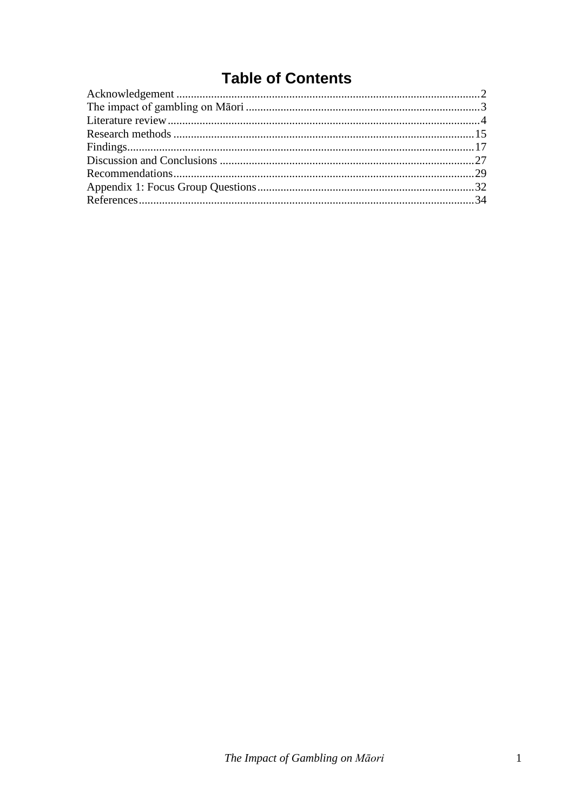# **Table of Contents**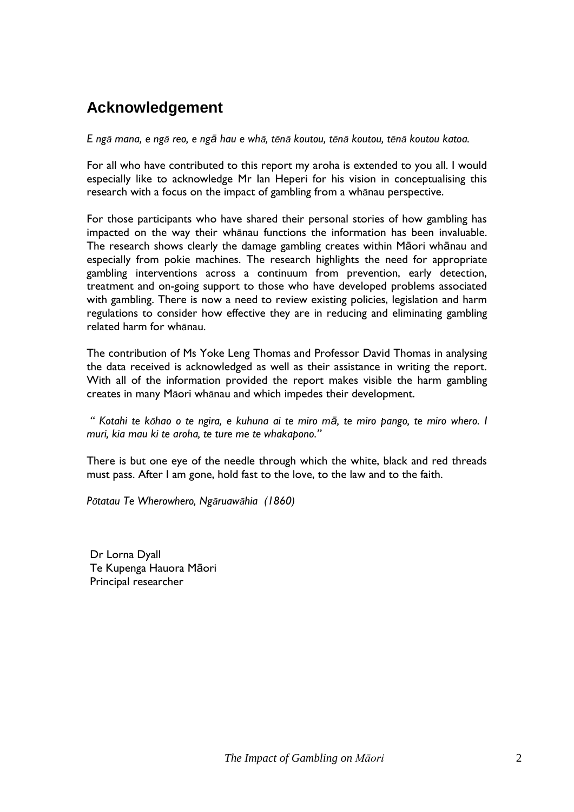# <span id="page-3-0"></span>**Acknowledgement**

E ngā mana, e ngā reo, e ngā hau e whā, tēnā koutou, tēnā koutou, tēnā koutou katoa.

For all who have contributed to this report my aroha is extended to you all. I would especially like to acknowledge Mr Ian Heperi for his vision in conceptualising this research with a focus on the impact of gambling from a whānau perspective.

For those participants who have shared their personal stories of how gambling has impacted on the way their whānau functions the information has been invaluable. The research shows clearly the damage gambling creates within Māori whānau and especially from pokie machines. The research highlights the need for appropriate gambling interventions across a continuum from prevention, early detection, treatment and on-going support to those who have developed problems associated with gambling. There is now a need to review existing policies, legislation and harm regulations to consider how effective they are in reducing and eliminating gambling related harm for whānau.

The contribution of Ms Yoke Leng Thomas and Professor David Thomas in analysing the data received is acknowledged as well as their assistance in writing the report. With all of the information provided the report makes visible the harm gambling creates in many Māori whānau and which impedes their development.

*" Kotahi te kōhao o te ngira, e kuhuna ai te miro mā, te miro pango, te miro whero. I muri, kia mau ki te aroha, te ture me te whakapono."*

There is but one eye of the needle through which the white, black and red threads must pass. After I am gone, hold fast to the love, to the law and to the faith.

*Pōtatau Te Wherowhero, Ngāruawāhia (1860)*

Dr Lorna Dyall Te Kupenga Hauora Māori Principal researcher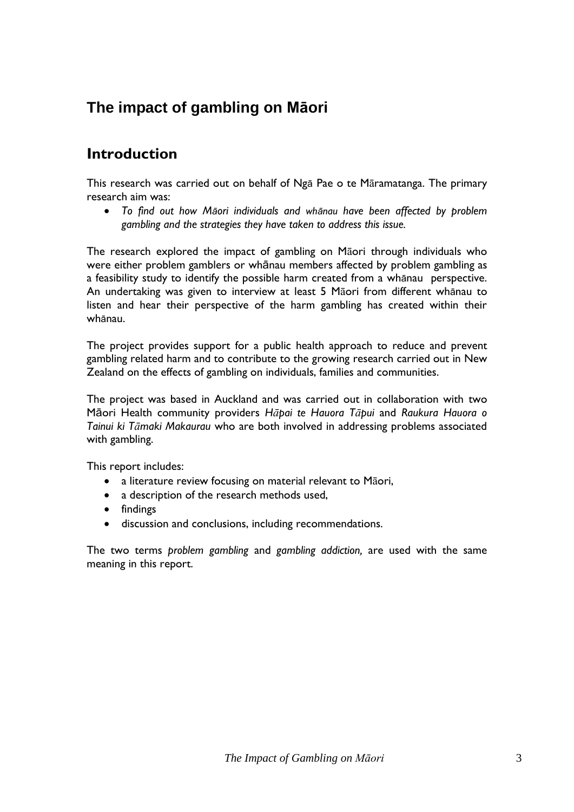# <span id="page-4-0"></span>**The impact of gambling on Māori**

## **Introduction**

This research was carried out on behalf of Ngā Pae o te Māramatanga. The primary research aim was:

 *To find out how Māori individuals and whānau have been affected by problem gambling and the strategies they have taken to address this issue.*

The research explored the impact of gambling on Māori through individuals who were either problem gamblers or whānau members affected by problem gambling as a feasibility study to identify the possible harm created from a whānau perspective. An undertaking was given to interview at least 5 Māori from different whānau to listen and hear their perspective of the harm gambling has created within their whānau.

The project provides support for a public health approach to reduce and prevent gambling related harm and to contribute to the growing research carried out in New Zealand on the effects of gambling on individuals, families and communities.

The project was based in Auckland and was carried out in collaboration with two Māori Health community providers *Hāpai te Hauora Tāpui* and *Raukura Hauora o Tainui ki Tāmaki Makaurau* who are both involved in addressing problems associated with gambling.

This report includes:

- a literature review focusing on material relevant to Māori,
- a description of the research methods used,
- findings
- discussion and conclusions, including recommendations.

The two terms *problem gambling* and *gambling addiction,* are used with the same meaning in this report.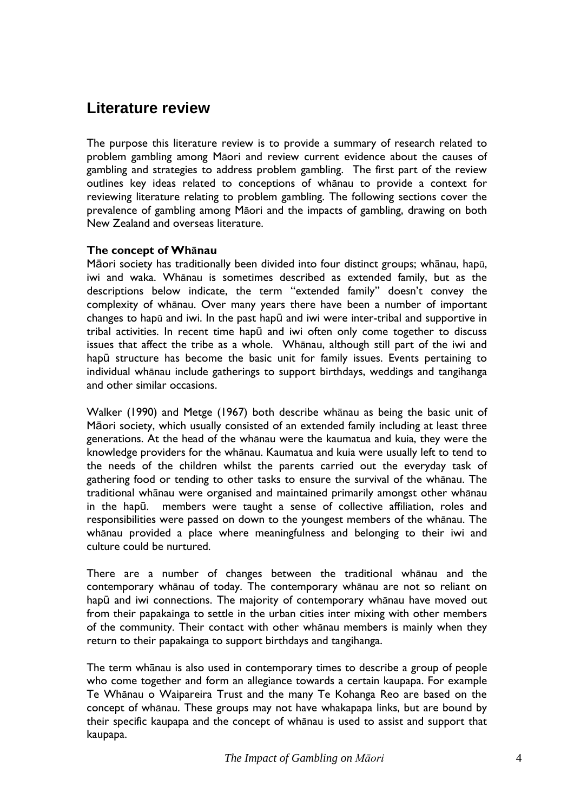## <span id="page-5-0"></span>**Literature review**

The purpose this literature review is to provide a summary of research related to problem gambling among Māori and review current evidence about the causes of gambling and strategies to address problem gambling. The first part of the review outlines key ideas related to conceptions of whānau to provide a context for reviewing literature relating to problem gambling. The following sections cover the prevalence of gambling among Māori and the impacts of gambling, drawing on both New Zealand and overseas literature.

## **The concept of Whānau**

Māori society has traditionally been divided into four distinct groups; whānau, hapū, iwi and waka. Whānau is sometimes described as extended family, but as the descriptions below indicate, the term "extended family" doesn't convey the complexity of whānau. Over many years there have been a number of important changes to hapū and iwi. In the past hapū and iwi were inter-tribal and supportive in tribal activities. In recent time hapū and iwi often only come together to discuss issues that affect the tribe as a whole. Whānau, although still part of the iwi and hapū structure has become the basic unit for family issues. Events pertaining to individual whānau include gatherings to support birthdays, weddings and tangihanga and other similar occasions.

Walker (1990) and Metge (1967) both describe whānau as being the basic unit of Māori society, which usually consisted of an extended family including at least three generations. At the head of the whānau were the kaumatua and kuia, they were the knowledge providers for the whānau. Kaumatua and kuia were usually left to tend to the needs of the children whilst the parents carried out the everyday task of gathering food or tending to other tasks to ensure the survival of the whānau. The traditional whānau were organised and maintained primarily amongst other whānau in the hapū. members were taught a sense of collective affiliation, roles and responsibilities were passed on down to the youngest members of the whānau. The whānau provided a place where meaningfulness and belonging to their iwi and culture could be nurtured.

There are a number of changes between the traditional whānau and the contemporary whānau of today. The contemporary whānau are not so reliant on hapū and iwi connections. The majority of contemporary whānau have moved out from their papakainga to settle in the urban cities inter mixing with other members of the community. Their contact with other whānau members is mainly when they return to their papakainga to support birthdays and tangihanga.

The term whānau is also used in contemporary times to describe a group of people who come together and form an allegiance towards a certain kaupapa. For example Te Whānau o Waipareira Trust and the many Te Kohanga Reo are based on the concept of whānau. These groups may not have whakapapa links, but are bound by their specific kaupapa and the concept of whānau is used to assist and support that kaupapa.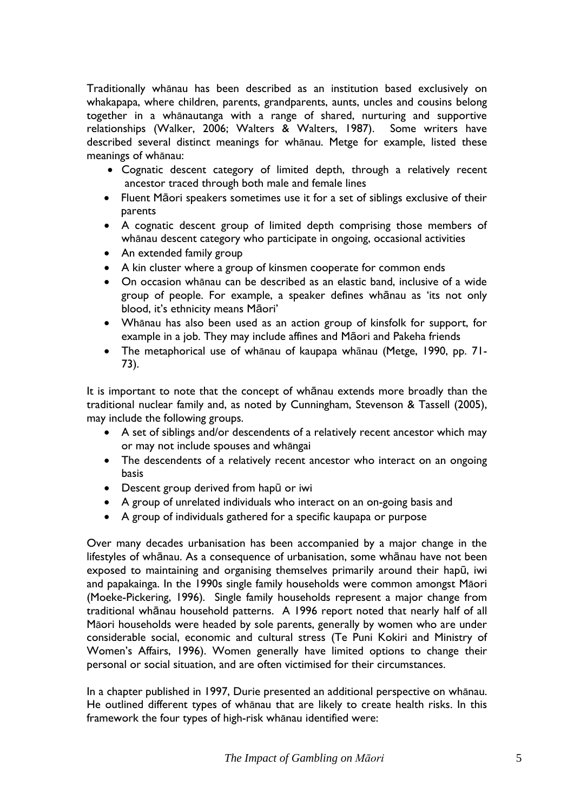Traditionally whānau has been described as an institution based exclusively on whakapapa, where children, parents, grandparents, aunts, uncles and cousins belong together in a whānautanga with a range of shared, nurturing and supportive relationships (Walker, 2006; Walters & Walters, 1987). Some writers have described several distinct meanings for whānau. Metge for example, listed these meanings of whānau:

- Cognatic descent category of limited depth, through a relatively recent ancestor traced through both male and female lines
- Fluent Māori speakers sometimes use it for a set of siblings exclusive of their parents
- A cognatic descent group of limited depth comprising those members of whānau descent category who participate in ongoing, occasional activities
- An extended family group
- A kin cluster where a group of kinsmen cooperate for common ends
- On occasion whānau can be described as an elastic band, inclusive of a wide group of people. For example, a speaker defines whānau as "its not only blood, it's ethnicity means Māori'
- Whānau has also been used as an action group of kinsfolk for support, for example in a job. They may include affines and Māori and Pakeha friends
- The metaphorical use of whānau of kaupapa whānau (Metge, 1990, pp. 71- 73).

It is important to note that the concept of whānau extends more broadly than the traditional nuclear family and, as noted by Cunningham, Stevenson & Tassell (2005), may include the following groups.

- A set of siblings and/or descendents of a relatively recent ancestor which may or may not include spouses and whāngai
- The descendents of a relatively recent ancestor who interact on an ongoing basis
- Descent group derived from hapū or iwi
- A group of unrelated individuals who interact on an on-going basis and
- A group of individuals gathered for a specific kaupapa or purpose

Over many decades urbanisation has been accompanied by a major change in the lifestyles of whānau. As a consequence of urbanisation, some whānau have not been exposed to maintaining and organising themselves primarily around their hapū, iwi and papakainga. In the 1990s single family households were common amongst Māori (Moeke-Pickering, 1996). Single family households represent a major change from traditional whānau household patterns. A 1996 report noted that nearly half of all Māori households were headed by sole parents, generally by women who are under considerable social, economic and cultural stress (Te Puni Kokiri and Ministry of Women"s Affairs, 1996). Women generally have limited options to change their personal or social situation, and are often victimised for their circumstances.

In a chapter published in 1997, Durie presented an additional perspective on whānau. He outlined different types of whānau that are likely to create health risks. In this framework the four types of high-risk whānau identified were: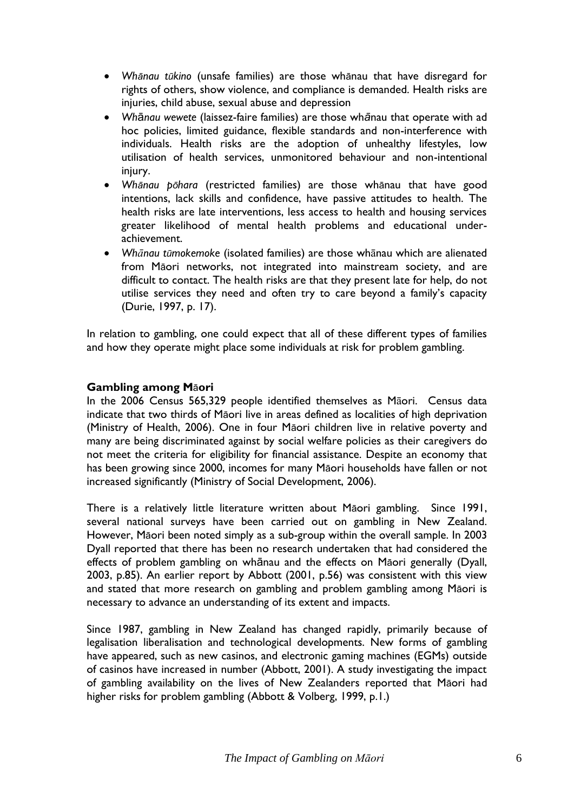- *Whānau tūkino* (unsafe families) are those whānau that have disregard for rights of others, show violence, and compliance is demanded. Health risks are injuries, child abuse, sexual abuse and depression
- *Wh*ā*nau wewete* (laissez-faire families) are those wh*ā*nau that operate with ad hoc policies, limited guidance, flexible standards and non-interference with individuals. Health risks are the adoption of unhealthy lifestyles, low utilisation of health services, unmonitored behaviour and non-intentional injury.
- *Whānau pōhara* (restricted families) are those whānau that have good intentions, lack skills and confidence, have passive attitudes to health. The health risks are late interventions, less access to health and housing services greater likelihood of mental health problems and educational underachievement.
- *Whānau tūmokemoke* (isolated families) are those whānau which are alienated from Māori networks, not integrated into mainstream society, and are difficult to contact. The health risks are that they present late for help, do not utilise services they need and often try to care beyond a family's capacity (Durie, 1997, p. 17).

In relation to gambling, one could expect that all of these different types of families and how they operate might place some individuals at risk for problem gambling.

## **Gambling among M**ā**ori**

In the 2006 Census 565,329 people identified themselves as Māori. Census data indicate that two thirds of Māori live in areas defined as localities of high deprivation (Ministry of Health, 2006). One in four Māori children live in relative poverty and many are being discriminated against by social welfare policies as their caregivers do not meet the criteria for eligibility for financial assistance. Despite an economy that has been growing since 2000, incomes for many Māori households have fallen or not increased significantly (Ministry of Social Development, 2006).

There is a relatively little literature written about Māori gambling. Since 1991, several national surveys have been carried out on gambling in New Zealand. However, Māori been noted simply as a sub-group within the overall sample. In 2003 Dyall reported that there has been no research undertaken that had considered the effects of problem gambling on whānau and the effects on Māori generally (Dyall, 2003, p.85). An earlier report by Abbott (2001, p.56) was consistent with this view and stated that more research on gambling and problem gambling among Māori is necessary to advance an understanding of its extent and impacts.

Since 1987, gambling in New Zealand has changed rapidly, primarily because of legalisation liberalisation and technological developments. New forms of gambling have appeared, such as new casinos, and electronic gaming machines (EGMs) outside of casinos have increased in number (Abbott, 2001). A study investigating the impact of gambling availability on the lives of New Zealanders reported that Māori had higher risks for problem gambling (Abbott & Volberg, 1999, p.1.)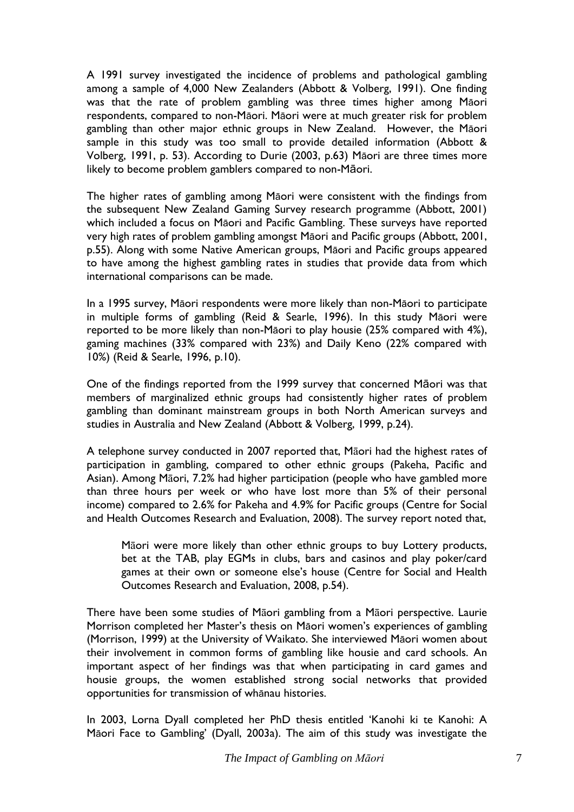A 1991 survey investigated the incidence of problems and pathological gambling among a sample of 4,000 New Zealanders (Abbott & Volberg, 1991). One finding was that the rate of problem gambling was three times higher among Māori respondents, compared to non-Māori. Māori were at much greater risk for problem gambling than other major ethnic groups in New Zealand. However, the Māori sample in this study was too small to provide detailed information (Abbott & Volberg, 1991, p. 53). According to Durie (2003, p.63) Māori are three times more likely to become problem gamblers compared to non-Māori.

The higher rates of gambling among Māori were consistent with the findings from the subsequent New Zealand Gaming Survey research programme (Abbott, 2001) which included a focus on Māori and Pacific Gambling. These surveys have reported very high rates of problem gambling amongst Māori and Pacific groups (Abbott, 2001, p.55). Along with some Native American groups, Māori and Pacific groups appeared to have among the highest gambling rates in studies that provide data from which international comparisons can be made.

In a 1995 survey, Māori respondents were more likely than non-Māori to participate in multiple forms of gambling (Reid & Searle, 1996). In this study Māori were reported to be more likely than non-Māori to play housie (25% compared with 4%), gaming machines (33% compared with 23%) and Daily Keno (22% compared with 10%) (Reid & Searle, 1996, p.10).

One of the findings reported from the 1999 survey that concerned Māori was that members of marginalized ethnic groups had consistently higher rates of problem gambling than dominant mainstream groups in both North American surveys and studies in Australia and New Zealand (Abbott & Volberg, 1999, p.24).

A telephone survey conducted in 2007 reported that, Māori had the highest rates of participation in gambling, compared to other ethnic groups (Pakeha, Pacific and Asian). Among Māori, 7.2% had higher participation (people who have gambled more than three hours per week or who have lost more than 5% of their personal income) compared to 2.6% for Pakeha and 4.9% for Pacific groups (Centre for Social and Health Outcomes Research and Evaluation, 2008). The survey report noted that,

Māori were more likely than other ethnic groups to buy Lottery products, bet at the TAB, play EGMs in clubs, bars and casinos and play poker/card games at their own or someone else"s house (Centre for Social and Health Outcomes Research and Evaluation, 2008, p.54).

There have been some studies of Māori gambling from a Māori perspective. Laurie Morrison completed her Master's thesis on Māori women's experiences of gambling (Morrison, 1999) at the University of Waikato. She interviewed Māori women about their involvement in common forms of gambling like housie and card schools. An important aspect of her findings was that when participating in card games and housie groups, the women established strong social networks that provided opportunities for transmission of whānau histories.

In 2003, Lorna Dyall completed her PhD thesis entitled "Kanohi ki te Kanohi: A Māori Face to Gambling" (Dyall, 2003a). The aim of this study was investigate the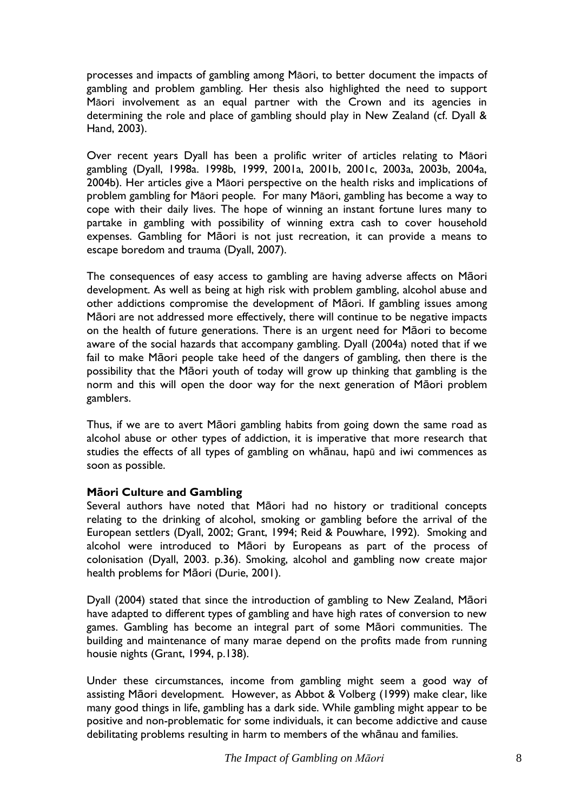processes and impacts of gambling among Māori, to better document the impacts of gambling and problem gambling. Her thesis also highlighted the need to support Māori involvement as an equal partner with the Crown and its agencies in determining the role and place of gambling should play in New Zealand (cf. Dyall & Hand, 2003).

Over recent years Dyall has been a prolific writer of articles relating to Māori gambling (Dyall, 1998a. 1998b, 1999, 2001a, 2001b, 2001c, 2003a, 2003b, 2004a, 2004b). Her articles give a Māori perspective on the health risks and implications of problem gambling for Māori people. For many Māori, gambling has become a way to cope with their daily lives. The hope of winning an instant fortune lures many to partake in gambling with possibility of winning extra cash to cover household expenses. Gambling for Māori is not just recreation, it can provide a means to escape boredom and trauma (Dyall, 2007).

The consequences of easy access to gambling are having adverse affects on Māori development. As well as being at high risk with problem gambling, alcohol abuse and other addictions compromise the development of Māori. If gambling issues among Māori are not addressed more effectively, there will continue to be negative impacts on the health of future generations. There is an urgent need for Māori to become aware of the social hazards that accompany gambling. Dyall (2004a) noted that if we fail to make Māori people take heed of the dangers of gambling, then there is the possibility that the Māori youth of today will grow up thinking that gambling is the norm and this will open the door way for the next generation of Māori problem gamblers.

Thus, if we are to avert Māori gambling habits from going down the same road as alcohol abuse or other types of addiction, it is imperative that more research that studies the effects of all types of gambling on whānau, hapū and iwi commences as soon as possible.

## **Māori Culture and Gambling**

Several authors have noted that Māori had no history or traditional concepts relating to the drinking of alcohol, smoking or gambling before the arrival of the European settlers (Dyall, 2002; Grant, 1994; Reid & Pouwhare, 1992). Smoking and alcohol were introduced to Māori by Europeans as part of the process of colonisation (Dyall, 2003. p.36). Smoking, alcohol and gambling now create major health problems for Māori (Durie, 2001).

Dyall (2004) stated that since the introduction of gambling to New Zealand, Māori have adapted to different types of gambling and have high rates of conversion to new games. Gambling has become an integral part of some Māori communities. The building and maintenance of many marae depend on the profits made from running housie nights (Grant, 1994, p.138).

Under these circumstances, income from gambling might seem a good way of assisting Māori development. However, as Abbot & Volberg (1999) make clear, like many good things in life, gambling has a dark side. While gambling might appear to be positive and non-problematic for some individuals, it can become addictive and cause debilitating problems resulting in harm to members of the whānau and families.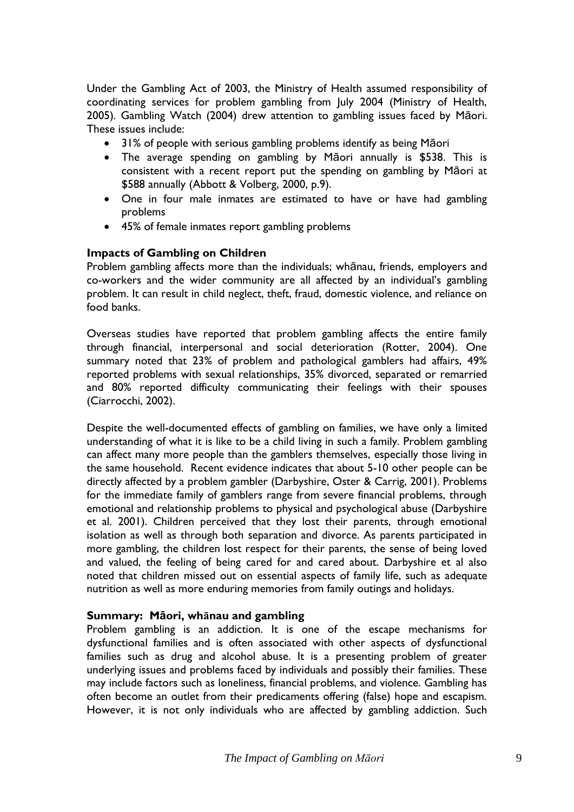Under the Gambling Act of 2003, the Ministry of Health assumed responsibility of coordinating services for problem gambling from July 2004 (Ministry of Health, 2005). Gambling Watch (2004) drew attention to gambling issues faced by Māori. These issues include:

- 31% of people with serious gambling problems identify as being Māori
- The average spending on gambling by Māori annually is \$538. This is consistent with a recent report put the spending on gambling by Māori at \$588 annually (Abbott & Volberg, 2000, p.9).
- One in four male inmates are estimated to have or have had gambling problems
- 45% of female inmates report gambling problems

#### **Impacts of Gambling on Children**

Problem gambling affects more than the individuals; whānau, friends, employers and co-workers and the wider community are all affected by an individual"s gambling problem. It can result in child neglect, theft, fraud, domestic violence, and reliance on food banks.

Overseas studies have reported that problem gambling affects the entire family through financial, interpersonal and social deterioration (Rotter, 2004). One summary noted that 23% of problem and pathological gamblers had affairs, 49% reported problems with sexual relationships, 35% divorced, separated or remarried and 80% reported difficulty communicating their feelings with their spouses (Ciarrocchi, 2002).

Despite the well-documented effects of gambling on families, we have only a limited understanding of what it is like to be a child living in such a family. Problem gambling can affect many more people than the gamblers themselves, especially those living in the same household. Recent evidence indicates that about 5-10 other people can be directly affected by a problem gambler (Darbyshire, Oster & Carrig, 2001). Problems for the immediate family of gamblers range from severe financial problems, through emotional and relationship problems to physical and psychological abuse (Darbyshire et al. 2001). Children perceived that they lost their parents, through emotional isolation as well as through both separation and divorce. As parents participated in more gambling, the children lost respect for their parents, the sense of being loved and valued, the feeling of being cared for and cared about. Darbyshire et al also noted that children missed out on essential aspects of family life, such as adequate nutrition as well as more enduring memories from family outings and holidays.

## **Summary: Māori, whānau and gambling**

Problem gambling is an addiction. It is one of the escape mechanisms for dysfunctional families and is often associated with other aspects of dysfunctional families such as drug and alcohol abuse. It is a presenting problem of greater underlying issues and problems faced by individuals and possibly their families. These may include factors such as loneliness, financial problems, and violence. Gambling has often become an outlet from their predicaments offering (false) hope and escapism. However, it is not only individuals who are affected by gambling addiction. Such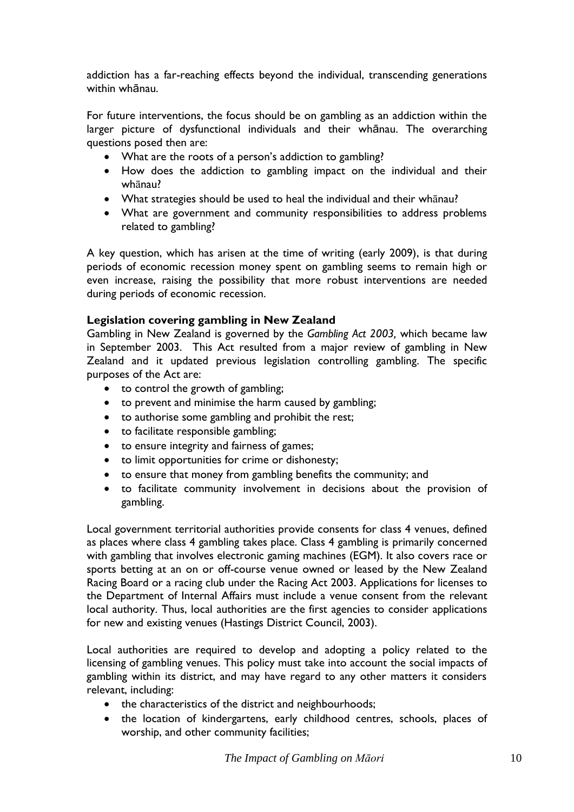addiction has a far-reaching effects beyond the individual, transcending generations within whānau.

For future interventions, the focus should be on gambling as an addiction within the larger picture of dysfunctional individuals and their whānau. The overarching questions posed then are:

- What are the roots of a person's addiction to gambling?
- How does the addiction to gambling impact on the individual and their whānau?
- What strategies should be used to heal the individual and their whānau?
- What are government and community responsibilities to address problems related to gambling?

A key question, which has arisen at the time of writing (early 2009), is that during periods of economic recession money spent on gambling seems to remain high or even increase, raising the possibility that more robust interventions are needed during periods of economic recession.

## **Legislation covering gambling in New Zealand**

Gambling in New Zealand is governed by the *Gambling Act 2003,* which became law in September 2003. This Act resulted from a major review of gambling in New Zealand and it updated previous legislation controlling gambling. The specific purposes of the Act are:

- to control the growth of gambling;
- to prevent and minimise the harm caused by gambling;
- to authorise some gambling and prohibit the rest;
- to facilitate responsible gambling;
- to ensure integrity and fairness of games;
- to limit opportunities for crime or dishonesty;
- to ensure that money from gambling benefits the community; and
- to facilitate community involvement in decisions about the provision of gambling.

Local government territorial authorities provide consents for class 4 venues, defined as places where class 4 gambling takes place. Class 4 gambling is primarily concerned with gambling that involves electronic gaming machines (EGM). It also covers race or sports betting at an on or off-course venue owned or leased by the New Zealand Racing Board or a racing club under the Racing Act 2003. Applications for licenses to the Department of Internal Affairs must include a venue consent from the relevant local authority. Thus, local authorities are the first agencies to consider applications for new and existing venues (Hastings District Council, 2003).

Local authorities are required to develop and adopting a policy related to the licensing of gambling venues. This policy must take into account the social impacts of gambling within its district, and may have regard to any other matters it considers relevant, including:

- the characteristics of the district and neighbourhoods;
- the location of kindergartens, early childhood centres, schools, places of worship, and other community facilities;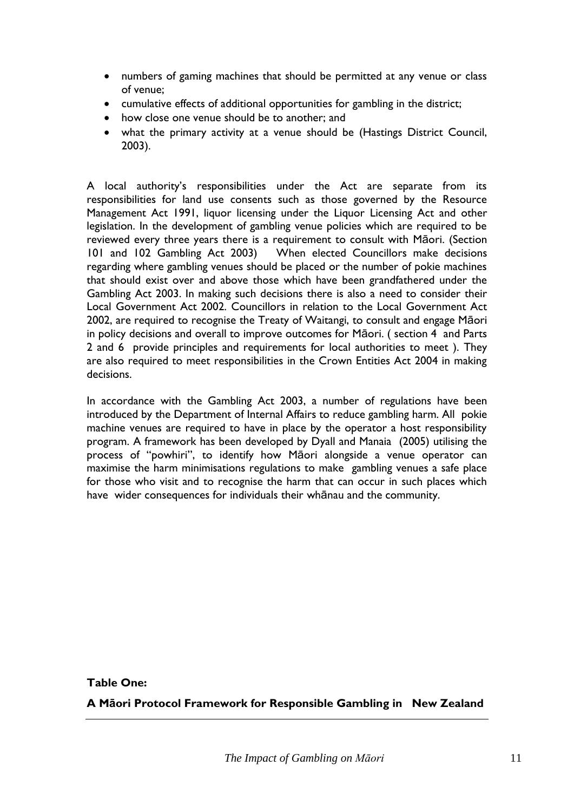- numbers of gaming machines that should be permitted at any venue or class of venue;
- cumulative effects of additional opportunities for gambling in the district;
- how close one venue should be to another; and
- what the primary activity at a venue should be (Hastings District Council, 2003).

A local authority's responsibilities under the Act are separate from its responsibilities for land use consents such as those governed by the Resource Management Act 1991, liquor licensing under the Liquor Licensing Act and other legislation. In the development of gambling venue policies which are required to be reviewed every three years there is a requirement to consult with Māori. (Section 101 and 102 Gambling Act 2003) When elected Councillors make decisions regarding where gambling venues should be placed or the number of pokie machines that should exist over and above those which have been grandfathered under the Gambling Act 2003. In making such decisions there is also a need to consider their Local Government Act 2002. Councillors in relation to the Local Government Act 2002, are required to recognise the Treaty of Waitangi, to consult and engage Māori in policy decisions and overall to improve outcomes for Māori. ( section 4 and Parts 2 and 6 provide principles and requirements for local authorities to meet ). They are also required to meet responsibilities in the Crown Entities Act 2004 in making decisions.

In accordance with the Gambling Act 2003, a number of regulations have been introduced by the Department of Internal Affairs to reduce gambling harm. All pokie machine venues are required to have in place by the operator a host responsibility program. A framework has been developed by Dyall and Manaia (2005) utilising the process of "powhiri", to identify how Māori alongside a venue operator can maximise the harm minimisations regulations to make gambling venues a safe place for those who visit and to recognise the harm that can occur in such places which have wider consequences for individuals their whānau and the community.

**Table One:** 

**A Māori Protocol Framework for Responsible Gambling in New Zealand**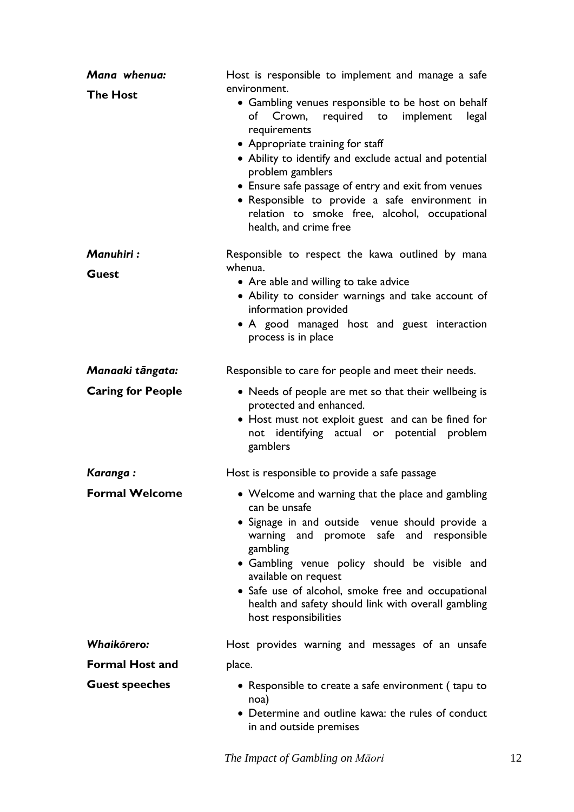| Mana whenua:             | Host is responsible to implement and manage a safe<br>environment.                                                                                                                                                                                                                                                                                                                                                      |
|--------------------------|-------------------------------------------------------------------------------------------------------------------------------------------------------------------------------------------------------------------------------------------------------------------------------------------------------------------------------------------------------------------------------------------------------------------------|
| <b>The Host</b>          | • Gambling venues responsible to be host on behalf<br>of Crown, required to<br>implement<br>legal<br>requirements<br>• Appropriate training for staff<br>• Ability to identify and exclude actual and potential<br>problem gamblers<br>• Ensure safe passage of entry and exit from venues<br>• Responsible to provide a safe environment in<br>relation to smoke free, alcohol, occupational<br>health, and crime free |
| Manuhiri:                | Responsible to respect the kawa outlined by mana                                                                                                                                                                                                                                                                                                                                                                        |
| <b>Guest</b>             | whenua.<br>• Are able and willing to take advice<br>• Ability to consider warnings and take account of<br>information provided<br>• A good managed host and guest interaction<br>process is in place                                                                                                                                                                                                                    |
| Manaaki tāngata:         | Responsible to care for people and meet their needs.                                                                                                                                                                                                                                                                                                                                                                    |
| <b>Caring for People</b> | • Needs of people are met so that their wellbeing is<br>protected and enhanced.<br>• Host must not exploit guest and can be fined for<br>not identifying actual or potential problem<br>gamblers                                                                                                                                                                                                                        |
| Karanga:                 | Host is responsible to provide a safe passage                                                                                                                                                                                                                                                                                                                                                                           |
| <b>Formal Welcome</b>    | • Welcome and warning that the place and gambling<br>can be unsafe<br>• Signage in and outside venue should provide a<br>warning and promote safe and responsible<br>gambling<br>• Gambling venue policy should be visible and<br>available on request<br>· Safe use of alcohol, smoke free and occupational<br>health and safety should link with overall gambling<br>host responsibilities                            |
| Whaikorero:              | Host provides warning and messages of an unsafe                                                                                                                                                                                                                                                                                                                                                                         |
| <b>Formal Host and</b>   | place.                                                                                                                                                                                                                                                                                                                                                                                                                  |
| <b>Guest speeches</b>    | • Responsible to create a safe environment (tapu to<br>noa)<br>• Determine and outline kawa: the rules of conduct<br>in and outside premises                                                                                                                                                                                                                                                                            |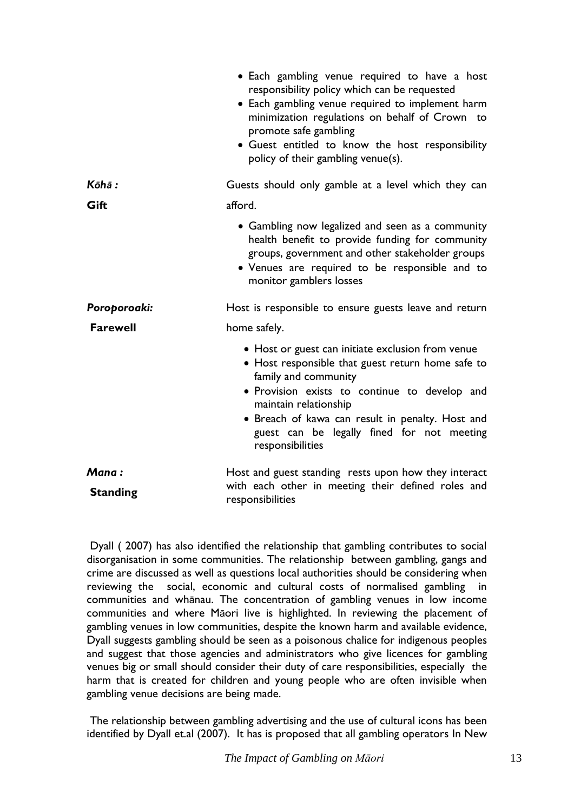|                          | • Each gambling venue required to have a host<br>responsibility policy which can be requested<br>• Each gambling venue required to implement harm<br>minimization regulations on behalf of Crown to<br>promote safe gambling<br>· Guest entitled to know the host responsibility<br>policy of their gambling venue(s).         |
|--------------------------|--------------------------------------------------------------------------------------------------------------------------------------------------------------------------------------------------------------------------------------------------------------------------------------------------------------------------------|
| Kōhā :                   | Guests should only gamble at a level which they can                                                                                                                                                                                                                                                                            |
| Gift                     | afford.                                                                                                                                                                                                                                                                                                                        |
|                          | • Gambling now legalized and seen as a community<br>health benefit to provide funding for community<br>groups, government and other stakeholder groups<br>• Venues are required to be responsible and to<br>monitor gamblers losses                                                                                            |
| Poroporoaki:             | Host is responsible to ensure guests leave and return                                                                                                                                                                                                                                                                          |
| <b>Farewell</b>          | home safely.                                                                                                                                                                                                                                                                                                                   |
|                          | • Host or guest can initiate exclusion from venue<br>• Host responsible that guest return home safe to<br>family and community<br>· Provision exists to continue to develop and<br>maintain relationship<br>• Breach of kawa can result in penalty. Host and<br>guest can be legally fined for not meeting<br>responsibilities |
| Mana:<br><b>Standing</b> | Host and guest standing rests upon how they interact<br>with each other in meeting their defined roles and<br>responsibilities                                                                                                                                                                                                 |

Dyall ( 2007) has also identified the relationship that gambling contributes to social disorganisation in some communities. The relationship between gambling, gangs and crime are discussed as well as questions local authorities should be considering when reviewing the social, economic and cultural costs of normalised gambling in communities and whānau. The concentration of gambling venues in low income communities and where Māori live is highlighted. In reviewing the placement of gambling venues in low communities, despite the known harm and available evidence, Dyall suggests gambling should be seen as a poisonous chalice for indigenous peoples and suggest that those agencies and administrators who give licences for gambling venues big or small should consider their duty of care responsibilities, especially the harm that is created for children and young people who are often invisible when gambling venue decisions are being made.

The relationship between gambling advertising and the use of cultural icons has been identified by Dyall et.al (2007). It has is proposed that all gambling operators In New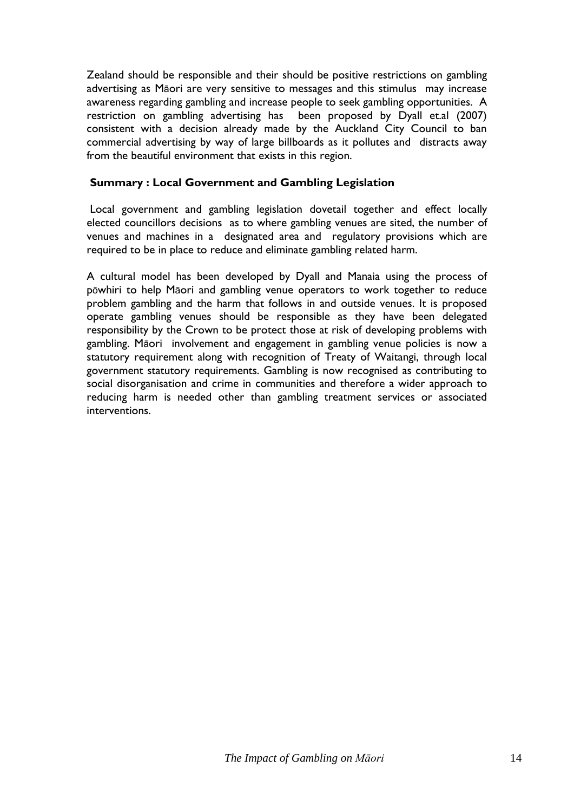Zealand should be responsible and their should be positive restrictions on gambling advertising as Māori are very sensitive to messages and this stimulus may increase awareness regarding gambling and increase people to seek gambling opportunities. A restriction on gambling advertising has been proposed by Dyall et.al (2007) consistent with a decision already made by the Auckland City Council to ban commercial advertising by way of large billboards as it pollutes and distracts away from the beautiful environment that exists in this region.

### **Summary : Local Government and Gambling Legislation**

Local government and gambling legislation dovetail together and effect locally elected councillors decisions as to where gambling venues are sited, the number of venues and machines in a designated area and regulatory provisions which are required to be in place to reduce and eliminate gambling related harm.

A cultural model has been developed by Dyall and Manaia using the process of pōwhiri to help Māori and gambling venue operators to work together to reduce problem gambling and the harm that follows in and outside venues. It is proposed operate gambling venues should be responsible as they have been delegated responsibility by the Crown to be protect those at risk of developing problems with gambling. Māori involvement and engagement in gambling venue policies is now a statutory requirement along with recognition of Treaty of Waitangi, through local government statutory requirements. Gambling is now recognised as contributing to social disorganisation and crime in communities and therefore a wider approach to reducing harm is needed other than gambling treatment services or associated interventions.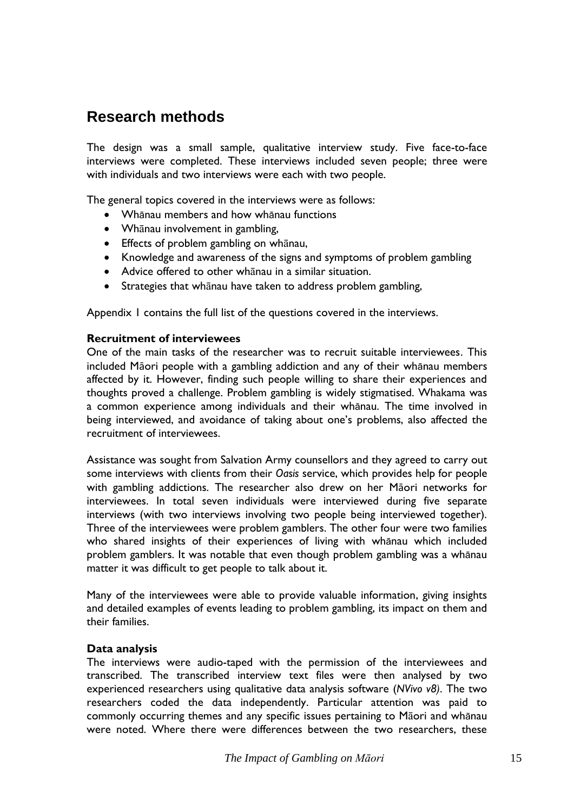## <span id="page-16-0"></span>**Research methods**

The design was a small sample, qualitative interview study. Five face-to-face interviews were completed. These interviews included seven people; three were with individuals and two interviews were each with two people.

The general topics covered in the interviews were as follows:

- Whānau members and how whānau functions
- Whānau involvement in gambling,
- Effects of problem gambling on whānau,
- Knowledge and awareness of the signs and symptoms of problem gambling
- Advice offered to other whānau in a similar situation.
- Strategies that whānau have taken to address problem gambling,

Appendix 1 contains the full list of the questions covered in the interviews.

#### **Recruitment of interviewees**

One of the main tasks of the researcher was to recruit suitable interviewees. This included Māori people with a gambling addiction and any of their whānau members affected by it. However, finding such people willing to share their experiences and thoughts proved a challenge. Problem gambling is widely stigmatised. Whakama was a common experience among individuals and their whānau. The time involved in being interviewed, and avoidance of taking about one's problems, also affected the recruitment of interviewees.

Assistance was sought from Salvation Army counsellors and they agreed to carry out some interviews with clients from their *Oasis* service, which provides help for people with gambling addictions. The researcher also drew on her Māori networks for interviewees. In total seven individuals were interviewed during five separate interviews (with two interviews involving two people being interviewed together). Three of the interviewees were problem gamblers. The other four were two families who shared insights of their experiences of living with whānau which included problem gamblers. It was notable that even though problem gambling was a whānau matter it was difficult to get people to talk about it.

Many of the interviewees were able to provide valuable information, giving insights and detailed examples of events leading to problem gambling, its impact on them and their families.

#### **Data analysis**

The interviews were audio-taped with the permission of the interviewees and transcribed. The transcribed interview text files were then analysed by two experienced researchers using qualitative data analysis software (*NVivo v8)*. The two researchers coded the data independently. Particular attention was paid to commonly occurring themes and any specific issues pertaining to Māori and whānau were noted. Where there were differences between the two researchers, these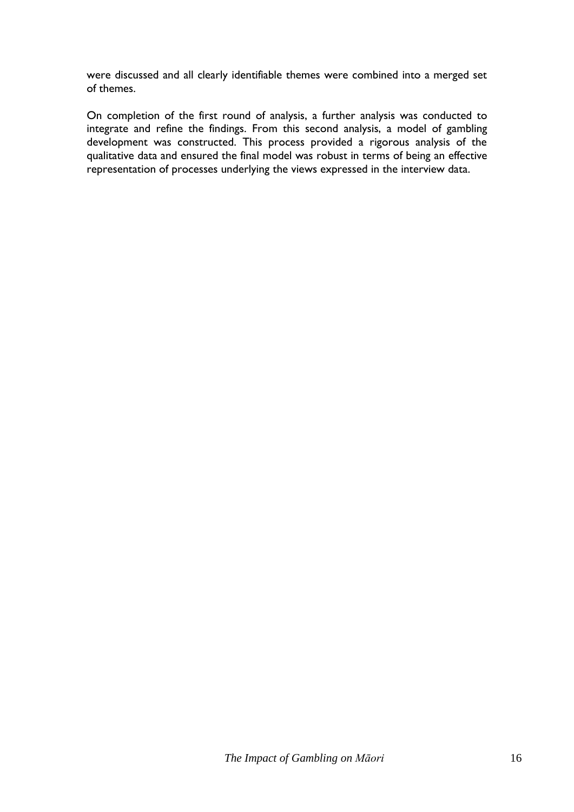were discussed and all clearly identifiable themes were combined into a merged set of themes.

On completion of the first round of analysis, a further analysis was conducted to integrate and refine the findings. From this second analysis, a model of gambling development was constructed. This process provided a rigorous analysis of the qualitative data and ensured the final model was robust in terms of being an effective representation of processes underlying the views expressed in the interview data.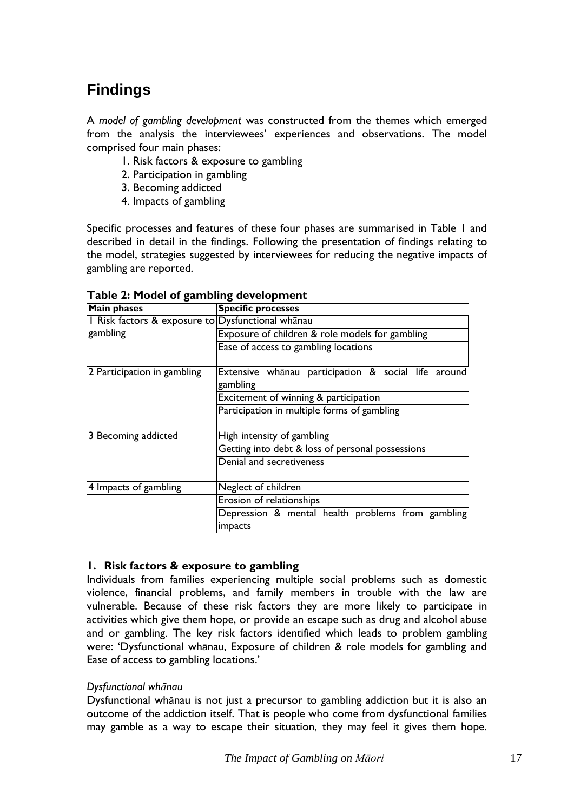# <span id="page-18-0"></span>**Findings**

A *model of gambling development* was constructed from the themes which emerged from the analysis the interviewees' experiences and observations. The model comprised four main phases:

- 1. Risk factors & exposure to gambling
- 2. Participation in gambling
- 3. Becoming addicted
- 4. Impacts of gambling

Specific processes and features of these four phases are summarised in Table 1 and described in detail in the findings. Following the presentation of findings relating to the model, strategies suggested by interviewees for reducing the negative impacts of gambling are reported.

| <b>Main phases</b>                                | <b>Specific processes</b>                           |
|---------------------------------------------------|-----------------------------------------------------|
| I Risk factors & exposure to Dysfunctional whanau |                                                     |
| gambling                                          | Exposure of children & role models for gambling     |
|                                                   | Ease of access to gambling locations                |
| 2 Participation in gambling                       | Extensive whanau participation & social life around |
|                                                   | gambling                                            |
|                                                   | Excitement of winning & participation               |
|                                                   | Participation in multiple forms of gambling         |
| 3 Becoming addicted                               | High intensity of gambling                          |
|                                                   | Getting into debt & loss of personal possessions    |
|                                                   | Denial and secretiveness                            |
| 4 Impacts of gambling                             | Neglect of children                                 |
|                                                   | Erosion of relationships                            |
|                                                   | Depression & mental health problems from gambling   |
|                                                   | impacts                                             |

**Table 2: Model of gambling development**

## **1. Risk factors & exposure to gambling**

Individuals from families experiencing multiple social problems such as domestic violence, financial problems, and family members in trouble with the law are vulnerable. Because of these risk factors they are more likely to participate in activities which give them hope, or provide an escape such as drug and alcohol abuse and or gambling. The key risk factors identified which leads to problem gambling were: "Dysfunctional whānau, Exposure of children & role models for gambling and Ease of access to gambling locations.'

## *Dysfunctional whānau*

Dysfunctional whānau is not just a precursor to gambling addiction but it is also an outcome of the addiction itself. That is people who come from dysfunctional families may gamble as a way to escape their situation, they may feel it gives them hope.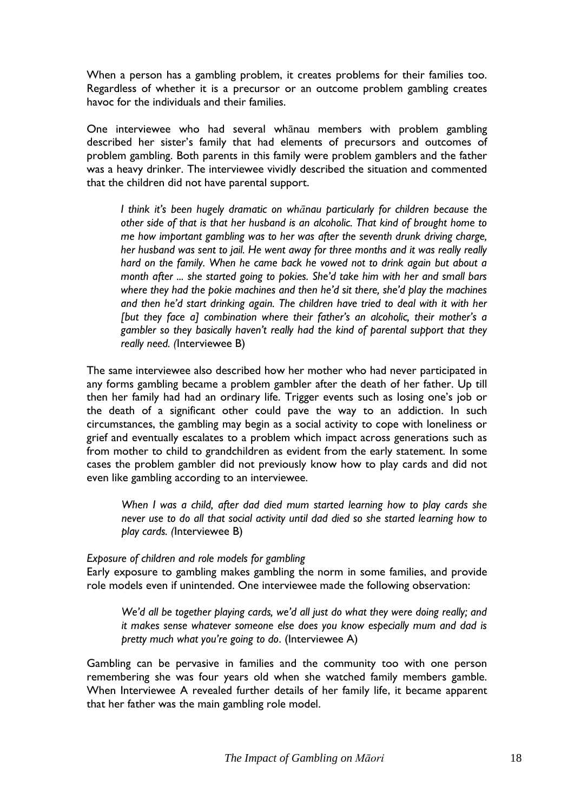When a person has a gambling problem, it creates problems for their families too. Regardless of whether it is a precursor or an outcome problem gambling creates havoc for the individuals and their families.

One interviewee who had several whānau members with problem gambling described her sister"s family that had elements of precursors and outcomes of problem gambling. Both parents in this family were problem gamblers and the father was a heavy drinker. The interviewee vividly described the situation and commented that the children did not have parental support.

*I think it"s been hugely dramatic on whānau particularly for children because the other side of that is that her husband is an alcoholic. That kind of brought home to me how important gambling was to her was after the seventh drunk driving charge, her husband was sent to jail. He went away for three months and it was really really hard on the family. When he came back he vowed not to drink again but about a month after ... she started going to pokies. She"d take him with her and small bars where they had the pokie machines and then he"d sit there, she"d play the machines and then he"d start drinking again. The children have tried to deal with it with her [but they face a] combination where their father"s an alcoholic, their mother"s a gambler so they basically haven"t really had the kind of parental support that they really need. (*Interviewee B)

The same interviewee also described how her mother who had never participated in any forms gambling became a problem gambler after the death of her father. Up till then her family had had an ordinary life. Trigger events such as losing one"s job or the death of a significant other could pave the way to an addiction. In such circumstances, the gambling may begin as a social activity to cope with loneliness or grief and eventually escalates to a problem which impact across generations such as from mother to child to grandchildren as evident from the early statement. In some cases the problem gambler did not previously know how to play cards and did not even like gambling according to an interviewee.

*When I was a child, after dad died mum started learning how to play cards she never use to do all that social activity until dad died so she started learning how to play cards. (*Interviewee B)

## *Exposure of children and role models for gambling*

Early exposure to gambling makes gambling the norm in some families, and provide role models even if unintended. One interviewee made the following observation:

*We"d all be together playing cards, we"d all just do what they were doing really; and it makes sense whatever someone else does you know especially mum and dad is pretty much what you"re going to do*. (Interviewee A)

Gambling can be pervasive in families and the community too with one person remembering she was four years old when she watched family members gamble. When Interviewee A revealed further details of her family life, it became apparent that her father was the main gambling role model.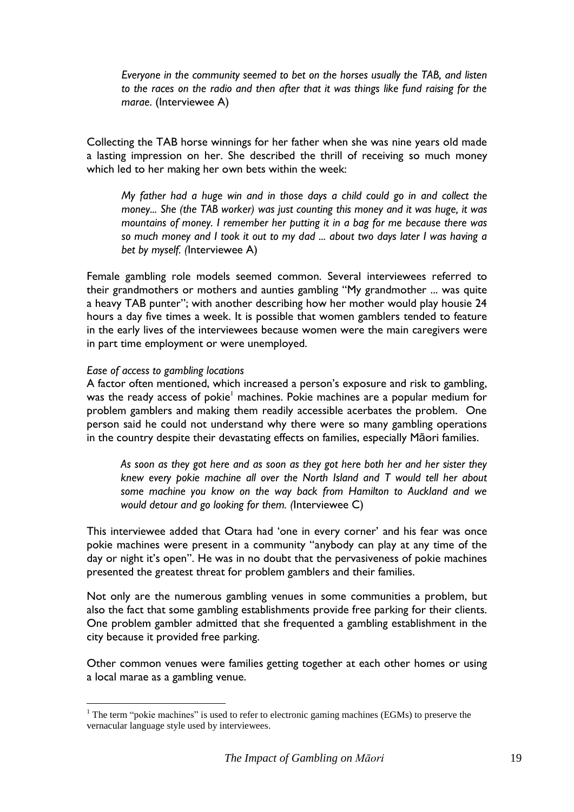*Everyone in the community seemed to bet on the horses usually the TAB, and listen to the races on the radio and then after that it was things like fund raising for the marae*. (Interviewee A)

Collecting the TAB horse winnings for her father when she was nine years old made a lasting impression on her. She described the thrill of receiving so much money which led to her making her own bets within the week:

*My father had a huge win and in those days a child could go in and collect the money... She (the TAB worker) was just counting this money and it was huge, it was mountains of money. I remember her putting it in a bag for me because there was so much money and I took it out to my dad ... about two days later I was having a bet by myself. (*Interviewee A)

Female gambling role models seemed common. Several interviewees referred to their grandmothers or mothers and aunties gambling "My grandmother ... was quite a heavy TAB punter"; with another describing how her mother would play housie 24 hours a day five times a week. It is possible that women gamblers tended to feature in the early lives of the interviewees because women were the main caregivers were in part time employment or were unemployed.

#### *Ease of access to gambling locations*

<u>.</u>

A factor often mentioned, which increased a person's exposure and risk to gambling, was the ready access of pokie<sup>1</sup> machines. Pokie machines are a popular medium for problem gamblers and making them readily accessible acerbates the problem. One person said he could not understand why there were so many gambling operations in the country despite their devastating effects on families, especially Māori families.

*As soon as they got here and as soon as they got here both her and her sister they knew every pokie machine all over the North Island and T would tell her about some machine you know on the way back from Hamilton to Auckland and we would detour and go looking for them. (*Interviewee C)

This interviewee added that Otara had 'one in every corner' and his fear was once pokie machines were present in a community "anybody can play at any time of the day or night it's open". He was in no doubt that the pervasiveness of pokie machines presented the greatest threat for problem gamblers and their families.

Not only are the numerous gambling venues in some communities a problem, but also the fact that some gambling establishments provide free parking for their clients. One problem gambler admitted that she frequented a gambling establishment in the city because it provided free parking.

Other common venues were families getting together at each other homes or using a local marae as a gambling venue.

<sup>&</sup>lt;sup>1</sup> The term "pokie machines" is used to refer to electronic gaming machines (EGMs) to preserve the vernacular language style used by interviewees.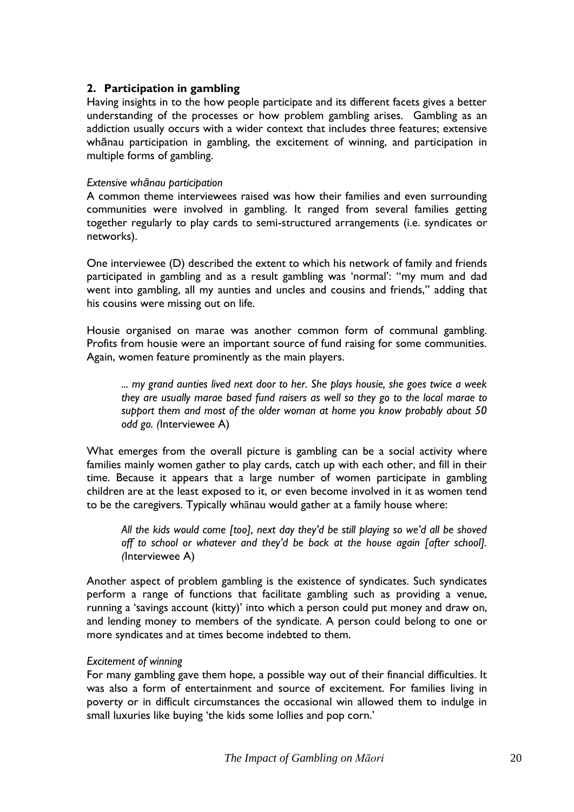## **2. Participation in gambling**

Having insights in to the how people participate and its different facets gives a better understanding of the processes or how problem gambling arises. Gambling as an addiction usually occurs with a wider context that includes three features; extensive whānau participation in gambling, the excitement of winning, and participation in multiple forms of gambling.

#### *Extensive whānau participation*

A common theme interviewees raised was how their families and even surrounding communities were involved in gambling. It ranged from several families getting together regularly to play cards to semi-structured arrangements (i.e. syndicates or networks).

One interviewee (D) described the extent to which his network of family and friends participated in gambling and as a result gambling was 'normal': "my mum and dad went into gambling, all my aunties and uncles and cousins and friends," adding that his cousins were missing out on life.

Housie organised on marae was another common form of communal gambling. Profits from housie were an important source of fund raising for some communities. Again, women feature prominently as the main players.

*... my grand aunties lived next door to her. She plays housie, she goes twice a week they are usually marae based fund raisers as well so they go to the local marae to support them and most of the older woman at home you know probably about 50 odd go. (*Interviewee A)

What emerges from the overall picture is gambling can be a social activity where families mainly women gather to play cards, catch up with each other, and fill in their time. Because it appears that a large number of women participate in gambling children are at the least exposed to it, or even become involved in it as women tend to be the caregivers. Typically whānau would gather at a family house where:

*All the kids would come [too], next day they"d be still playing so we"d all be shoved off to school or whatever and they"d be back at the house again [after school]. (*Interviewee A)

Another aspect of problem gambling is the existence of syndicates. Such syndicates perform a range of functions that facilitate gambling such as providing a venue, running a "savings account (kitty)" into which a person could put money and draw on, and lending money to members of the syndicate. A person could belong to one or more syndicates and at times become indebted to them.

#### *Excitement of winning*

For many gambling gave them hope, a possible way out of their financial difficulties. It was also a form of entertainment and source of excitement. For families living in poverty or in difficult circumstances the occasional win allowed them to indulge in small luxuries like buying 'the kids some lollies and pop corn.'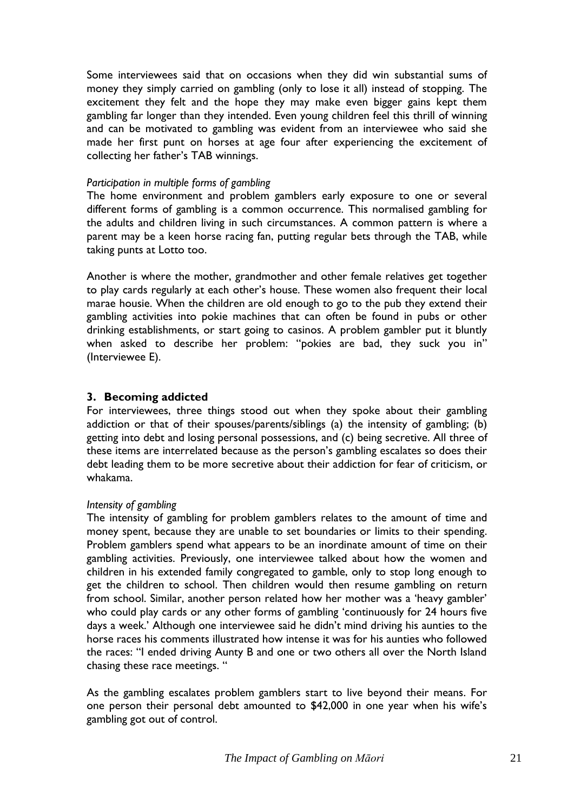Some interviewees said that on occasions when they did win substantial sums of money they simply carried on gambling (only to lose it all) instead of stopping. The excitement they felt and the hope they may make even bigger gains kept them gambling far longer than they intended. Even young children feel this thrill of winning and can be motivated to gambling was evident from an interviewee who said she made her first punt on horses at age four after experiencing the excitement of collecting her father"s TAB winnings.

#### *Participation in multiple forms of gambling*

The home environment and problem gamblers early exposure to one or several different forms of gambling is a common occurrence. This normalised gambling for the adults and children living in such circumstances. A common pattern is where a parent may be a keen horse racing fan, putting regular bets through the TAB, while taking punts at Lotto too.

Another is where the mother, grandmother and other female relatives get together to play cards regularly at each other"s house. These women also frequent their local marae housie. When the children are old enough to go to the pub they extend their gambling activities into pokie machines that can often be found in pubs or other drinking establishments, or start going to casinos. A problem gambler put it bluntly when asked to describe her problem: "pokies are bad, they suck you in" (Interviewee E).

## **3. Becoming addicted**

For interviewees, three things stood out when they spoke about their gambling addiction or that of their spouses/parents/siblings (a) the intensity of gambling; (b) getting into debt and losing personal possessions, and (c) being secretive. All three of these items are interrelated because as the person"s gambling escalates so does their debt leading them to be more secretive about their addiction for fear of criticism, or whakama.

## *Intensity of gambling*

The intensity of gambling for problem gamblers relates to the amount of time and money spent, because they are unable to set boundaries or limits to their spending. Problem gamblers spend what appears to be an inordinate amount of time on their gambling activities. Previously, one interviewee talked about how the women and children in his extended family congregated to gamble, only to stop long enough to get the children to school. Then children would then resume gambling on return from school. Similar, another person related how her mother was a "heavy gambler" who could play cards or any other forms of gambling "continuously for 24 hours five days a week." Although one interviewee said he didn"t mind driving his aunties to the horse races his comments illustrated how intense it was for his aunties who followed the races: "I ended driving Aunty B and one or two others all over the North Island chasing these race meetings. "

As the gambling escalates problem gamblers start to live beyond their means. For one person their personal debt amounted to \$42,000 in one year when his wife"s gambling got out of control.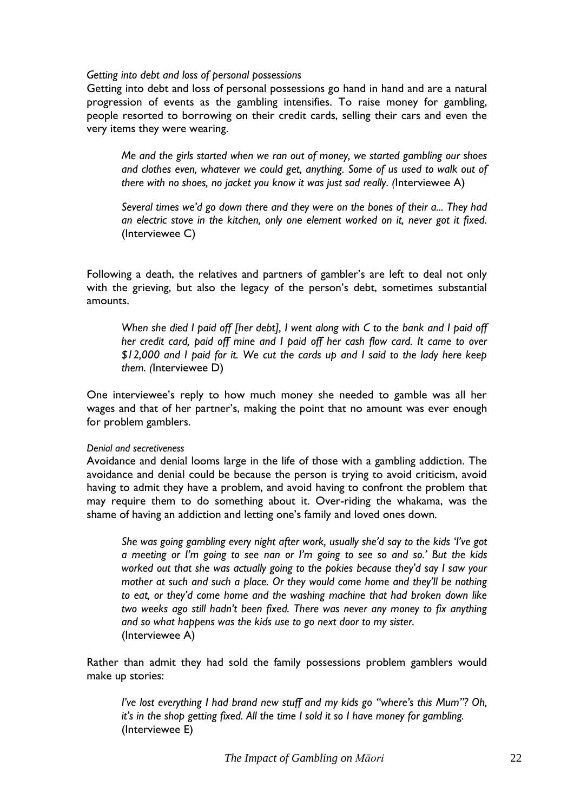#### *Getting into debt and loss of personal possessions*

Getting into debt and loss of personal possessions go hand in hand and are a natural progression of events as the gambling intensifies. To raise money for gambling, people resorted to borrowing on their credit cards, selling their cars and even the very items they were wearing.

*Me and the girls started when we ran out of money, we started gambling our shoes and clothes even, whatever we could get, anything. Some of us used to walk out of there with no shoes, no jacket you know it was just sad really. (*Interviewee A)

*Several times we"d go down there and they were on the bones of their a... They had an electric stove in the kitchen, only one element worked on it, never got it fixed.* (Interviewee C)

Following a death, the relatives and partners of gambler's are left to deal not only with the grieving, but also the legacy of the person's debt, sometimes substantial amounts.

*When she died I paid off [her debt], I went along with C to the bank and I paid off her credit card, paid off mine and I paid off her cash flow card. It came to over \$12,000 and I paid for it. We cut the cards up and I said to the lady here keep them. (*Interviewee D)

One interviewee's reply to how much money she needed to gamble was all her wages and that of her partner's, making the point that no amount was ever enough for problem gamblers.

#### *Denial and secretiveness*

Avoidance and denial looms large in the life of those with a gambling addiction. The avoidance and denial could be because the person is trying to avoid criticism, avoid having to admit they have a problem, and avoid having to confront the problem that may require them to do something about it. Over-riding the whakama, was the shame of having an addiction and letting one's family and loved ones down.

*She was going gambling every night after work, usually she"d say to the kids "I"ve got a meeting or I"m going to see nan or I"m going to see so and so." But the kids worked out that she was actually going to the pokies because they'd say I saw your mother at such and such a place. Or they would come home and they"ll be nothing to eat, or they"d come home and the washing machine that had broken down like two weeks ago still hadn"t been fixed. There was never any money to fix anything and so what happens was the kids use to go next door to my sister.*  (Interviewee A)

Rather than admit they had sold the family possessions problem gamblers would make up stories:

*I've lost everything I had brand new stuff and my kids go "where's this Mum"? Oh, it"s in the shop getting fixed. All the time I sold it so I have money for gambling.*  (Interviewee E)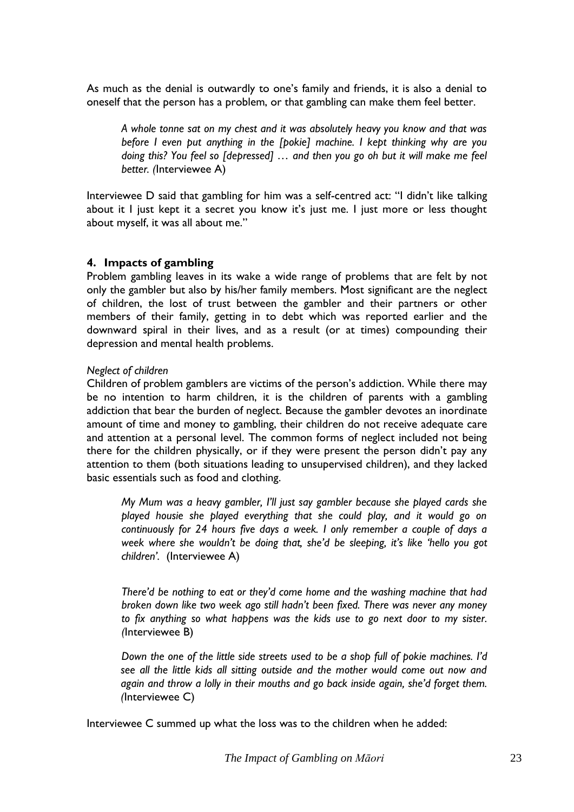As much as the denial is outwardly to one"s family and friends, it is also a denial to oneself that the person has a problem, or that gambling can make them feel better.

*A whole tonne sat on my chest and it was absolutely heavy you know and that was before I even put anything in the [pokie] machine. I kept thinking why are you doing this? You feel so [depressed] … and then you go oh but it will make me feel better. (*Interviewee A)

Interviewee D said that gambling for him was a self-centred act: "I didn"t like talking about it I just kept it a secret you know it's just me. I just more or less thought about myself, it was all about me."

#### **4. Impacts of gambling**

Problem gambling leaves in its wake a wide range of problems that are felt by not only the gambler but also by his/her family members. Most significant are the neglect of children, the lost of trust between the gambler and their partners or other members of their family, getting in to debt which was reported earlier and the downward spiral in their lives, and as a result (or at times) compounding their depression and mental health problems.

#### *Neglect of children*

Children of problem gamblers are victims of the person"s addiction. While there may be no intention to harm children, it is the children of parents with a gambling addiction that bear the burden of neglect. Because the gambler devotes an inordinate amount of time and money to gambling, their children do not receive adequate care and attention at a personal level. The common forms of neglect included not being there for the children physically, or if they were present the person didn"t pay any attention to them (both situations leading to unsupervised children), and they lacked basic essentials such as food and clothing.

*My Mum was a heavy gambler, I"ll just say gambler because she played cards she played housie she played everything that she could play, and it would go on continuously for 24 hours five days a week. I only remember a couple of days a week where she wouldn"t be doing that, she"d be sleeping, it"s like "hello you got children".* (Interviewee A)

*There"d be nothing to eat or they"d come home and the washing machine that had broken down like two week ago still hadn"t been fixed. There was never any money to fix anything so what happens was the kids use to go next door to my sister. (*Interviewee B)

*Down the one of the little side streets used to be a shop full of pokie machines. I"d see all the little kids all sitting outside and the mother would come out now and again and throw a lolly in their mouths and go back inside again, she"d forget them. (*Interviewee C)

Interviewee C summed up what the loss was to the children when he added: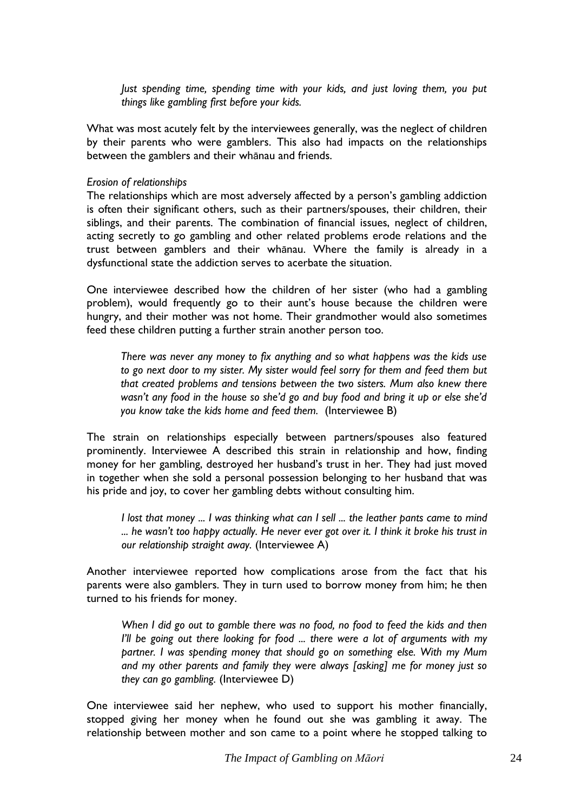*Just spending time, spending time with your kids, and just loving them, you put things like gambling first before your kids.*

What was most acutely felt by the interviewees generally, was the neglect of children by their parents who were gamblers. This also had impacts on the relationships between the gamblers and their whānau and friends.

#### *Erosion of relationships*

The relationships which are most adversely affected by a person"s gambling addiction is often their significant others, such as their partners/spouses, their children, their siblings, and their parents. The combination of financial issues, neglect of children, acting secretly to go gambling and other related problems erode relations and the trust between gamblers and their whānau. Where the family is already in a dysfunctional state the addiction serves to acerbate the situation.

One interviewee described how the children of her sister (who had a gambling problem), would frequently go to their aunt's house because the children were hungry, and their mother was not home. Their grandmother would also sometimes feed these children putting a further strain another person too.

*There was never any money to fix anything and so what happens was the kids use to go next door to my sister. My sister would feel sorry for them and feed them but that created problems and tensions between the two sisters. Mum also knew there wasn"t any food in the house so she"d go and buy food and bring it up or else she"d you know take the kids home and feed them.* (Interviewee B)

The strain on relationships especially between partners/spouses also featured prominently. Interviewee A described this strain in relationship and how, finding money for her gambling, destroyed her husband"s trust in her. They had just moved in together when she sold a personal possession belonging to her husband that was his pride and joy, to cover her gambling debts without consulting him.

*I* lost that money ... *I* was thinking what can *I* sell ... the leather pants came to mind *... he wasn"t too happy actually. He never ever got over it. I think it broke his trust in our relationship straight away.* (Interviewee A)

Another interviewee reported how complications arose from the fact that his parents were also gamblers. They in turn used to borrow money from him; he then turned to his friends for money.

*When I did go out to gamble there was no food, no food to feed the kids and then I"ll be going out there looking for food ... there were a lot of arguments with my partner. I was spending money that should go on something else. With my Mum and my other parents and family they were always [asking] me for money just so they can go gambling.* (Interviewee D)

One interviewee said her nephew, who used to support his mother financially, stopped giving her money when he found out she was gambling it away. The relationship between mother and son came to a point where he stopped talking to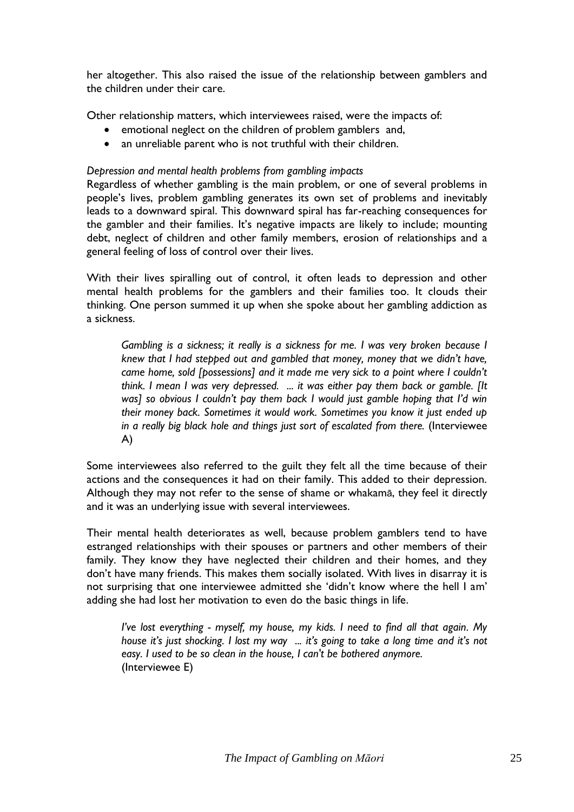her altogether. This also raised the issue of the relationship between gamblers and the children under their care.

Other relationship matters, which interviewees raised, were the impacts of:

- emotional neglect on the children of problem gamblers and,
- an unreliable parent who is not truthful with their children.

### *Depression and mental health problems from gambling impacts*

Regardless of whether gambling is the main problem, or one of several problems in people"s lives, problem gambling generates its own set of problems and inevitably leads to a downward spiral. This downward spiral has far-reaching consequences for the gambler and their families. It's negative impacts are likely to include; mounting debt, neglect of children and other family members, erosion of relationships and a general feeling of loss of control over their lives.

With their lives spiralling out of control, it often leads to depression and other mental health problems for the gamblers and their families too. It clouds their thinking. One person summed it up when she spoke about her gambling addiction as a sickness.

*Gambling is a sickness; it really is a sickness for me. I was very broken because I knew that I had stepped out and gambled that money, money that we didn"t have, came home, sold [possessions] and it made me very sick to a point where I couldn"t think. I mean I was very depressed. ... it was either pay them back or gamble. [It was] so obvious I couldn"t pay them back I would just gamble hoping that I"d win their money back. Sometimes it would work. Sometimes you know it just ended up in a really big black hole and things just sort of escalated from there.* (Interviewee A)

Some interviewees also referred to the guilt they felt all the time because of their actions and the consequences it had on their family. This added to their depression. Although they may not refer to the sense of shame or whakamā, they feel it directly and it was an underlying issue with several interviewees.

Their mental health deteriorates as well, because problem gamblers tend to have estranged relationships with their spouses or partners and other members of their family. They know they have neglected their children and their homes, and they don"t have many friends. This makes them socially isolated. With lives in disarray it is not surprising that one interviewee admitted she "didn"t know where the hell I am" adding she had lost her motivation to even do the basic things in life.

*I"ve lost everything - myself, my house, my kids. I need to find all that again. My house it"s just shocking. I lost my way ... it"s going to take a long time and it"s not easy. I used to be so clean in the house, I can't be bothered anymore.*  (Interviewee E)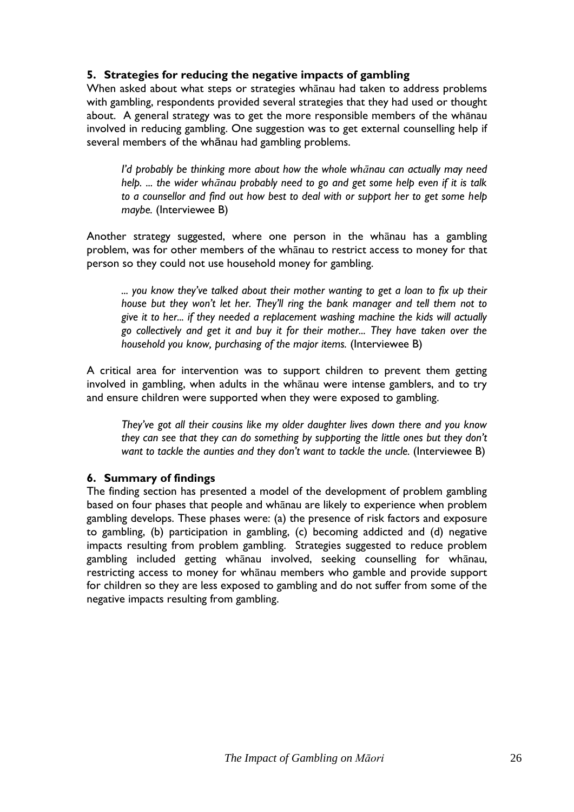## **5. Strategies for reducing the negative impacts of gambling**

When asked about what steps or strategies whānau had taken to address problems with gambling, respondents provided several strategies that they had used or thought about. A general strategy was to get the more responsible members of the whānau involved in reducing gambling. One suggestion was to get external counselling help if several members of the whānau had gambling problems.

*I"d probably be thinking more about how the whole whānau can actually may need help. ... the wider whānau probably need to go and get some help even if it is talk to a counsellor and find out how best to deal with or support her to get some help maybe.* (Interviewee B)

Another strategy suggested, where one person in the whānau has a gambling problem, was for other members of the whānau to restrict access to money for that person so they could not use household money for gambling.

*... you know they"ve talked about their mother wanting to get a loan to fix up their house but they won"t let her. They"ll ring the bank manager and tell them not to give it to her... if they needed a replacement washing machine the kids will actually go collectively and get it and buy it for their mother... They have taken over the household you know, purchasing of the major items.* (Interviewee B)

A critical area for intervention was to support children to prevent them getting involved in gambling, when adults in the whānau were intense gamblers, and to try and ensure children were supported when they were exposed to gambling.

*They"ve got all their cousins like my older daughter lives down there and you know they can see that they can do something by supporting the little ones but they don"t want to tackle the aunties and they don"t want to tackle the uncle.* (Interviewee B)

## **6. Summary of findings**

The finding section has presented a model of the development of problem gambling based on four phases that people and whānau are likely to experience when problem gambling develops. These phases were: (a) the presence of risk factors and exposure to gambling, (b) participation in gambling, (c) becoming addicted and (d) negative impacts resulting from problem gambling. Strategies suggested to reduce problem gambling included getting whānau involved, seeking counselling for whānau, restricting access to money for whānau members who gamble and provide support for children so they are less exposed to gambling and do not suffer from some of the negative impacts resulting from gambling.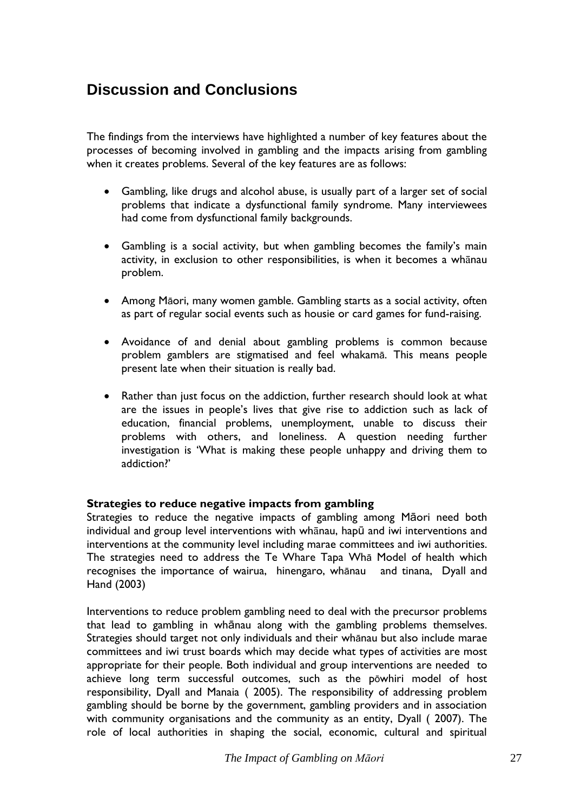## <span id="page-28-0"></span>**Discussion and Conclusions**

The findings from the interviews have highlighted a number of key features about the processes of becoming involved in gambling and the impacts arising from gambling when it creates problems. Several of the key features are as follows:

- Gambling, like drugs and alcohol abuse, is usually part of a larger set of social problems that indicate a dysfunctional family syndrome. Many interviewees had come from dysfunctional family backgrounds.
- Gambling is a social activity, but when gambling becomes the family"s main activity, in exclusion to other responsibilities, is when it becomes a whānau problem.
- Among Māori, many women gamble. Gambling starts as a social activity, often as part of regular social events such as housie or card games for fund-raising.
- Avoidance of and denial about gambling problems is common because problem gamblers are stigmatised and feel whakamā. This means people present late when their situation is really bad.
- Rather than just focus on the addiction, further research should look at what are the issues in people"s lives that give rise to addiction such as lack of education, financial problems, unemployment, unable to discuss their problems with others, and loneliness. A question needing further investigation is "What is making these people unhappy and driving them to addiction?"

## **Strategies to reduce negative impacts from gambling**

Strategies to reduce the negative impacts of gambling among Māori need both individual and group level interventions with whānau, hapū and iwi interventions and interventions at the community level including marae committees and iwi authorities. The strategies need to address the Te Whare Tapa Whā Model of health which recognises the importance of wairua, hinengaro, whānau and tinana, Dyall and Hand (2003)

Interventions to reduce problem gambling need to deal with the precursor problems that lead to gambling in whānau along with the gambling problems themselves. Strategies should target not only individuals and their whānau but also include marae committees and iwi trust boards which may decide what types of activities are most appropriate for their people. Both individual and group interventions are needed to achieve long term successful outcomes, such as the pōwhiri model of host responsibility, Dyall and Manaia ( 2005). The responsibility of addressing problem gambling should be borne by the government, gambling providers and in association with community organisations and the community as an entity, Dyall ( 2007). The role of local authorities in shaping the social, economic, cultural and spiritual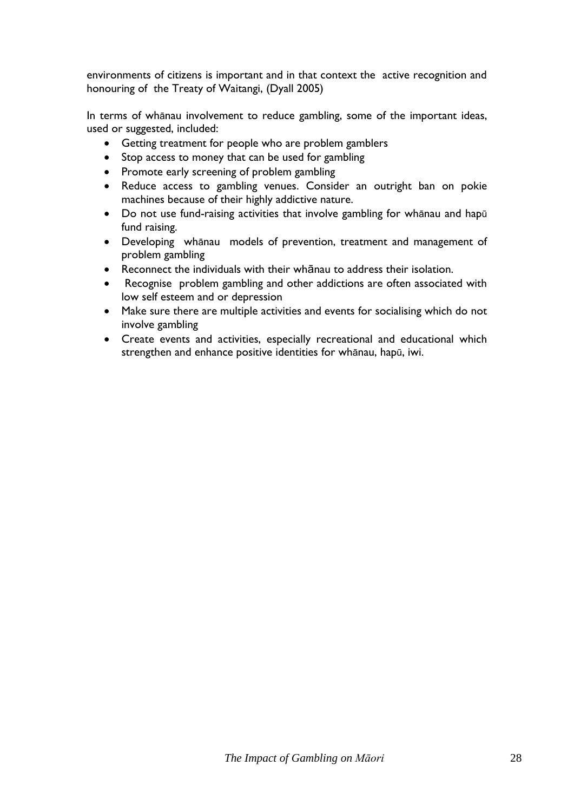environments of citizens is important and in that context the active recognition and honouring of the Treaty of Waitangi, (Dyall 2005)

In terms of whānau involvement to reduce gambling, some of the important ideas, used or suggested, included:

- Getting treatment for people who are problem gamblers
- Stop access to money that can be used for gambling
- Promote early screening of problem gambling
- Reduce access to gambling venues. Consider an outright ban on pokie machines because of their highly addictive nature.
- Do not use fund-raising activities that involve gambling for whānau and hapū fund raising.
- Developing whānau models of prevention, treatment and management of problem gambling
- Reconnect the individuals with their whānau to address their isolation.
- Recognise problem gambling and other addictions are often associated with low self esteem and or depression
- Make sure there are multiple activities and events for socialising which do not involve gambling
- Create events and activities, especially recreational and educational which strengthen and enhance positive identities for whānau, hapū, iwi.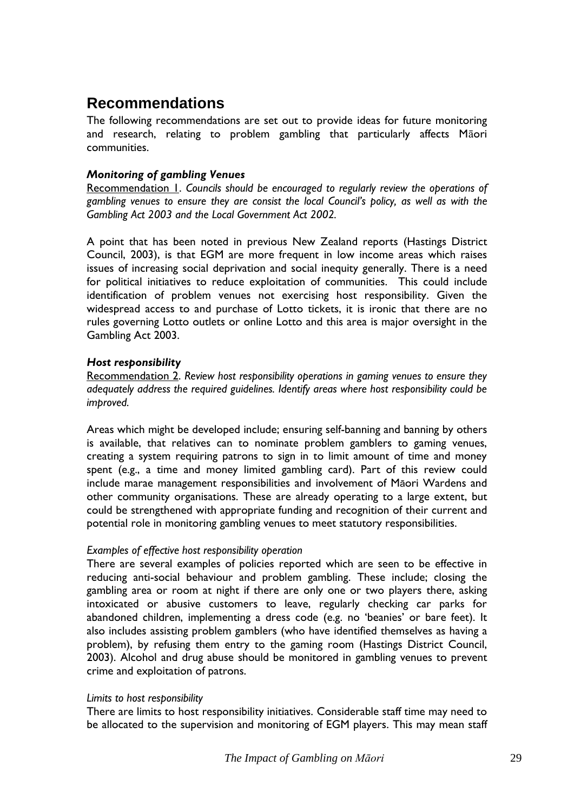## <span id="page-30-0"></span>**Recommendations**

The following recommendations are set out to provide ideas for future monitoring and research, relating to problem gambling that particularly affects Māori communities.

## *Monitoring of gambling Venues*

Recommendation 1. *Councils should be encouraged to regularly review the operations of gambling venues to ensure they are consist the local Council"s policy, as well as with the Gambling Act 2003 and the Local Government Act 2002.*

A point that has been noted in previous New Zealand reports (Hastings District Council, 2003), is that EGM are more frequent in low income areas which raises issues of increasing social deprivation and social inequity generally. There is a need for political initiatives to reduce exploitation of communities. This could include identification of problem venues not exercising host responsibility. Given the widespread access to and purchase of Lotto tickets, it is ironic that there are no rules governing Lotto outlets or online Lotto and this area is major oversight in the Gambling Act 2003.

## *Host responsibility*

Recommendation 2. *Review host responsibility operations in gaming venues to ensure they adequately address the required guidelines. Identify areas where host responsibility could be improved.*

Areas which might be developed include; ensuring self-banning and banning by others is available, that relatives can to nominate problem gamblers to gaming venues, creating a system requiring patrons to sign in to limit amount of time and money spent (e.g., a time and money limited gambling card). Part of this review could include marae management responsibilities and involvement of Māori Wardens and other community organisations. These are already operating to a large extent, but could be strengthened with appropriate funding and recognition of their current and potential role in monitoring gambling venues to meet statutory responsibilities.

## *Examples of effective host responsibility operation*

There are several examples of policies reported which are seen to be effective in reducing anti-social behaviour and problem gambling. These include; closing the gambling area or room at night if there are only one or two players there, asking intoxicated or abusive customers to leave, regularly checking car parks for abandoned children, implementing a dress code (e.g. no 'beanies' or bare feet). It also includes assisting problem gamblers (who have identified themselves as having a problem), by refusing them entry to the gaming room (Hastings District Council, 2003). Alcohol and drug abuse should be monitored in gambling venues to prevent crime and exploitation of patrons.

## *Limits to host responsibility*

There are limits to host responsibility initiatives. Considerable staff time may need to be allocated to the supervision and monitoring of EGM players. This may mean staff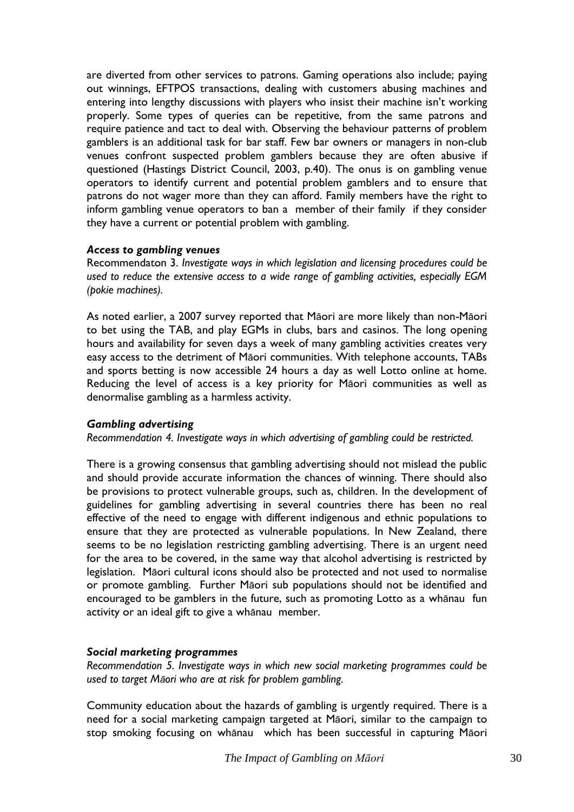are diverted from other services to patrons. Gaming operations also include; paying out winnings, EFTPOS transactions, dealing with customers abusing machines and entering into lengthy discussions with players who insist their machine isn't working properly. Some types of queries can be repetitive, from the same patrons and require patience and tact to deal with. Observing the behaviour patterns of problem gamblers is an additional task for bar staff. Few bar owners or managers in non-club venues confront suspected problem gamblers because they are often abusive if questioned (Hastings District Council, 2003, p.40). The onus is on gambling venue operators to identify current and potential problem gamblers and to ensure that patrons do not wager more than they can afford. Family members have the right to inform gambling venue operators to ban a member of their family if they consider they have a current or potential problem with gambling.

## *Access to gambling venues*

Recommendaton 3. *Investigate ways in which legislation and licensing procedures could be used to reduce the extensive access to a wide range of gambling activities, especially EGM (pokie machines).*

As noted earlier, a 2007 survey reported that Māori are more likely than non-Māori to bet using the TAB, and play EGMs in clubs, bars and casinos. The long opening hours and availability for seven days a week of many gambling activities creates very easy access to the detriment of Māori communities. With telephone accounts, TABs and sports betting is now accessible 24 hours a day as well Lotto online at home. Reducing the level of access is a key priority for Māori communities as well as denormalise gambling as a harmless activity.

#### *Gambling advertising*

*Recommendation 4. Investigate ways in which advertising of gambling could be restricted.* 

There is a growing consensus that gambling advertising should not mislead the public and should provide accurate information the chances of winning. There should also be provisions to protect vulnerable groups, such as, children. In the development of guidelines for gambling advertising in several countries there has been no real effective of the need to engage with different indigenous and ethnic populations to ensure that they are protected as vulnerable populations. In New Zealand, there seems to be no legislation restricting gambling advertising. There is an urgent need for the area to be covered, in the same way that alcohol advertising is restricted by legislation. Māori cultural icons should also be protected and not used to normalise or promote gambling. Further Māori sub populations should not be identified and encouraged to be gamblers in the future, such as promoting Lotto as a whānau fun activity or an ideal gift to give a whānau member.

## *Social marketing programmes*

*Recommendation 5. Investigate ways in which new social marketing programmes could be used to target Māori who are at risk for problem gambling.* 

Community education about the hazards of gambling is urgently required. There is a need for a social marketing campaign targeted at Māori, similar to the campaign to stop smoking focusing on whānau which has been successful in capturing Māori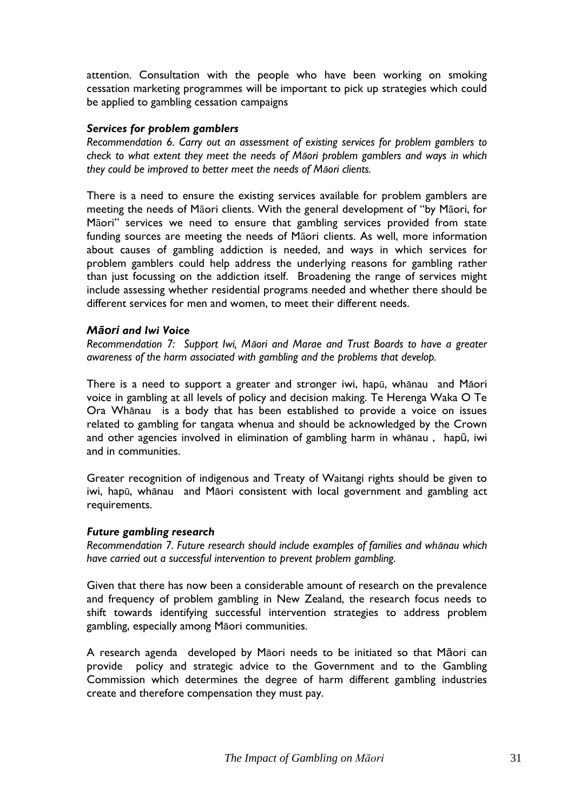attention. Consultation with the people who have been working on smoking cessation marketing programmes will be important to pick up strategies which could be applied to gambling cessation campaigns

#### *Services for problem gamblers*

*Recommendation 6. Carry out an assessment of existing services for problem gamblers to check to what extent they meet the needs of Māori problem gamblers and ways in which they could be improved to better meet the needs of Māori clients.*

There is a need to ensure the existing services available for problem gamblers are meeting the needs of Māori clients. With the general development of "by Māori, for Māori" services we need to ensure that gambling services provided from state funding sources are meeting the needs of Māori clients. As well, more information about causes of gambling addiction is needed, and ways in which services for problem gamblers could help address the underlying reasons for gambling rather than just focussing on the addiction itself. Broadening the range of services might include assessing whether residential programs needed and whether there should be different services for men and women, to meet their different needs.

#### *Māori and Iwi Voice*

*Recommendation 7: Support Iwi, Māori and Marae and Trust Boards to have a greater awareness of the harm associated with gambling and the problems that develop.*

There is a need to support a greater and stronger iwi, hapū, whānau and Māori voice in gambling at all levels of policy and decision making. Te Herenga Waka O Te Ora Whānau is a body that has been established to provide a voice on issues related to gambling for tangata whenua and should be acknowledged by the Crown and other agencies involved in elimination of gambling harm in whānau , hapū, iwi and in communities.

Greater recognition of indigenous and Treaty of Waitangi rights should be given to iwi, hapū, whānau and Māori consistent with local government and gambling act requirements.

#### *Future gambling research*

*Recommendation 7. Future research should include examples of families and whānau which have carried out a successful intervention to prevent problem gambling.*

Given that there has now been a considerable amount of research on the prevalence and frequency of problem gambling in New Zealand, the research focus needs to shift towards identifying successful intervention strategies to address problem gambling, especially among Māori communities.

A research agenda developed by Māori needs to be initiated so that Māori can provide policy and strategic advice to the Government and to the Gambling Commission which determines the degree of harm different gambling industries create and therefore compensation they must pay.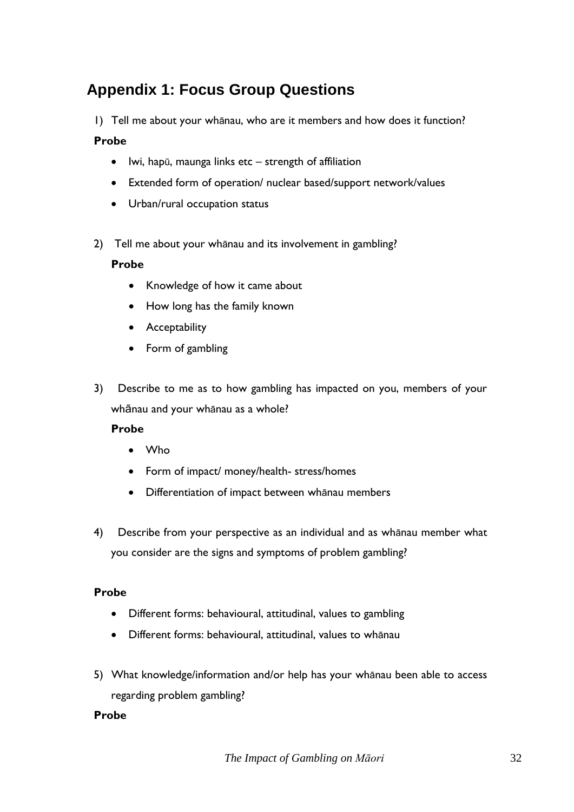# <span id="page-33-0"></span>**Appendix 1: Focus Group Questions**

1) Tell me about your whānau, who are it members and how does it function?

## **Probe**

- $\bullet$  lwi, hapū, maunga links etc strength of affiliation
- Extended form of operation/ nuclear based/support network/values
- Urban/rural occupation status
- 2) Tell me about your whānau and its involvement in gambling?

## **Probe**

- Knowledge of how it came about
- How long has the family known
- Acceptability
- Form of gambling
- 3) Describe to me as to how gambling has impacted on you, members of your whānau and your whānau as a whole?

## **Probe**

- Who
- Form of impact/ money/health- stress/homes
- Differentiation of impact between whānau members
- 4) Describe from your perspective as an individual and as whānau member what you consider are the signs and symptoms of problem gambling?

## **Probe**

- Different forms: behavioural, attitudinal, values to gambling
- Different forms: behavioural, attitudinal, values to whānau
- 5) What knowledge/information and/or help has your whānau been able to access regarding problem gambling?

## **Probe**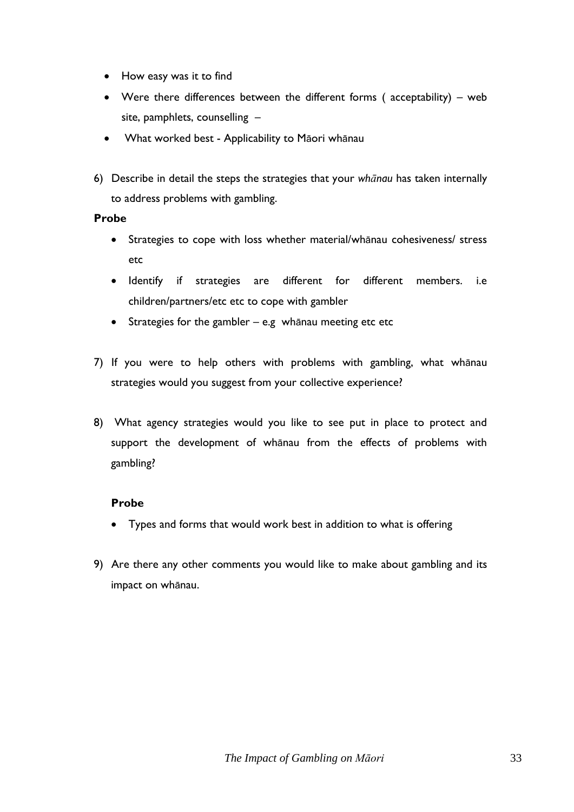- How easy was it to find
- Were there differences between the different forms ( acceptability) web site, pamphlets, counselling –
- What worked best Applicability to Māori whānau
- 6) Describe in detail the steps the strategies that your *whānau* has taken internally to address problems with gambling.

#### **Probe**

- Strategies to cope with loss whether material/whānau cohesiveness/ stress etc
- Identify if strategies are different for different members. i.e children/partners/etc etc to cope with gambler
- Strategies for the gambler e.g whānau meeting etc etc
- 7) If you were to help others with problems with gambling, what whānau strategies would you suggest from your collective experience?
- 8) What agency strategies would you like to see put in place to protect and support the development of whānau from the effects of problems with gambling?

## **Probe**

- Types and forms that would work best in addition to what is offering
- 9) Are there any other comments you would like to make about gambling and its impact on whānau.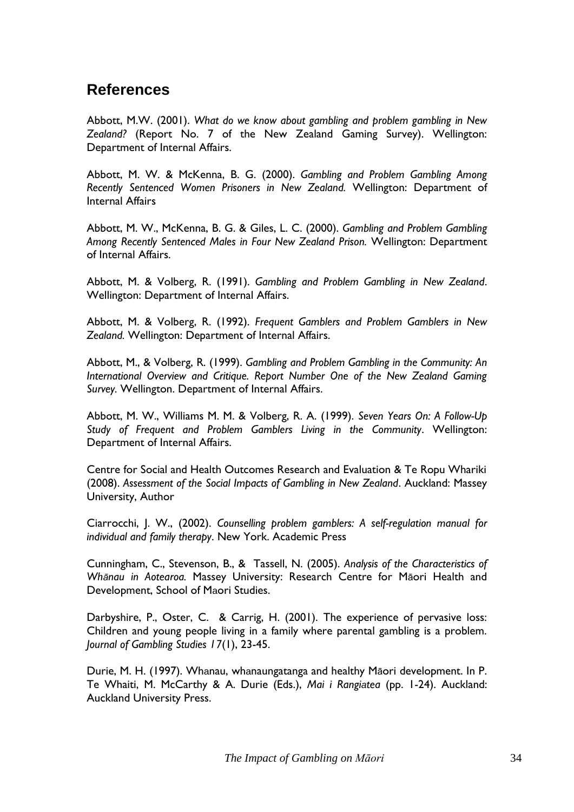## <span id="page-35-0"></span>**References**

Abbott, M.W. (2001). *What do we know about gambling and problem gambling in New Zealand?* (Report No. 7 of the New Zealand Gaming Survey). Wellington: Department of Internal Affairs.

Abbott, M. W. & McKenna, B. G. (2000). *Gambling and Problem Gambling Among Recently Sentenced Women Prisoners in New Zealand.* Wellington: Department of Internal Affairs

Abbott, M. W., McKenna, B. G. & Giles, L. C. (2000). *Gambling and Problem Gambling Among Recently Sentenced Males in Four New Zealand Prison.* Wellington: Department of Internal Affairs.

Abbott, M. & Volberg, R. (1991). *Gambling and Problem Gambling in New Zealand*. Wellington: Department of Internal Affairs.

Abbott, M. & Volberg, R. (1992). *Frequent Gamblers and Problem Gamblers in New Zealand.* Wellington: Department of Internal Affairs.

Abbott, M., & Volberg, R. (1999). *Gambling and Problem Gambling in the Community: An International Overview and Critique. Report Number One of the New Zealand Gaming Survey.* Wellington. Department of Internal Affairs.

Abbott, M. W., Williams M. M. & Volberg, R. A. (1999). *Seven Years On: A Follow-Up Study of Frequent and Problem Gamblers Living in the Community*. Wellington: Department of Internal Affairs.

Centre for Social and Health Outcomes Research and Evaluation & Te Ropu Whariki (2008). *Assessment of the Social Impacts of Gambling in New Zealand*. Auckland: Massey University, Author

Ciarrocchi, J. W., (2002). *Counselling problem gamblers: A self-regulation manual for individual and family therapy*. New York. Academic Press

Cunningham, C., Stevenson, B., & Tassell, N. (2005). *Analysis of the Characteristics of Whānau in Aotearoa.* Massey University: Research Centre for Māori Health and Development, School of Maori Studies.

Darbyshire, P., Oster, C. & Carrig, H. (2001). The experience of pervasive loss: Children and young people living in a family where parental gambling is a problem. *Journal of Gambling Studies 17*(1), 23-45.

Durie, M. H. (1997). Whanau, whanaungatanga and healthy Māori development. In P. Te Whaiti, M. McCarthy & A. Durie (Eds.), *Mai i Rangiatea* (pp. 1-24). Auckland: Auckland University Press.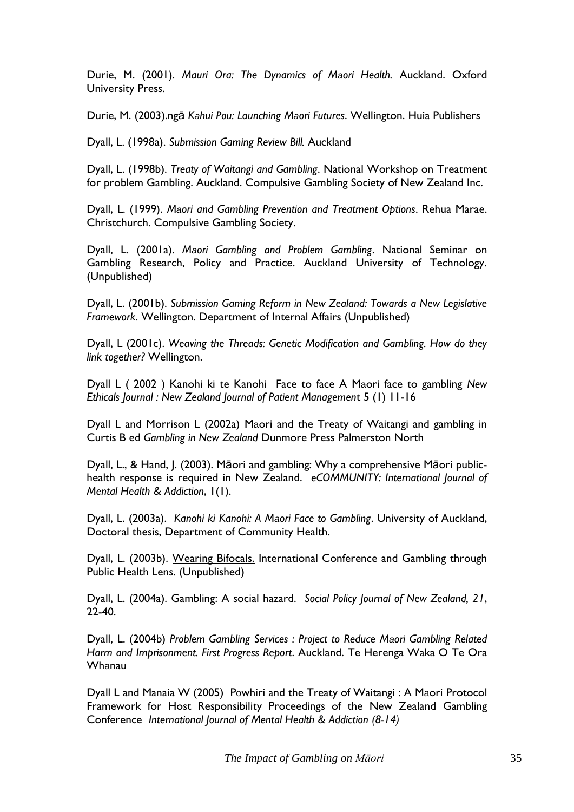Durie, M. (2001). *Mauri Ora: The Dynamics of Maori Health.* Auckland. Oxford University Press.

Durie, M. (2003).ngā *Kahui Pou: Launching Maori Futures*. Wellington. Huia Publishers

Dyall, L. (1998a). *Submission Gaming Review Bill.* Auckland

Dyall, L. (1998b). *Treaty of Waitangi and Gambling*. National Workshop on Treatment for problem Gambling. Auckland. Compulsive Gambling Society of New Zealand Inc.

Dyall, L. (1999). *Maori and Gambling Prevention and Treatment Options*. Rehua Marae. Christchurch. Compulsive Gambling Society.

Dyall, L. (2001a). *Maori Gambling and Problem Gambling*. National Seminar on Gambling Research, Policy and Practice. Auckland University of Technology. (Unpublished)

Dyall, L. (2001b). *Submission Gaming Reform in New Zealand: Towards a New Legislative Framework*. Wellington. Department of Internal Affairs (Unpublished)

Dyall, L (2001c). *Weaving the Threads: Genetic Modification and Gambling. How do they link together?* Wellington.

Dyall L ( 2002 ) Kanohi ki te Kanohi Face to face A Maori face to gambling *New Ethicals Journal : New Zealand Journal of Patient Managemen*t 5 (1) 11-16

Dyall L and Morrison L (2002a) Maori and the Treaty of Waitangi and gambling in Curtis B ed *Gambling in New Zealand* Dunmore Press Palmerston North

Dyall, L., & Hand, J. (2003). Māori and gambling: Why a comprehensive Māori publichealth response is required in New Zealand. *eCOMMUNITY: International Journal of Mental Health & Addiction*, 1(1).

Dyall, L. (2003a). *Kanohi ki Kanohi: A Maori Face to Gambling*. University of Auckland, Doctoral thesis, Department of Community Health.

Dyall, L. (2003b). Wearing Bifocals. International Conference and Gambling through Public Health Lens. (Unpublished)

Dyall, L. (2004a). Gambling: A social hazard. *Social Policy Journal of New Zealand, 21*, 22-40.

Dyall, L. (2004b) *Problem Gambling Services : Project to Reduce Maori Gambling Related Harm and Imprisonment. First Progress Report*. Auckland. Te Herenga Waka O Te Ora Whanau

Dyall L and Manaia W (2005) Powhiri and the Treaty of Waitangi : A Maori Protocol Framework for Host Responsibility Proceedings of the New Zealand Gambling Conference *International Journal of Mental Health & Addiction (8-14)*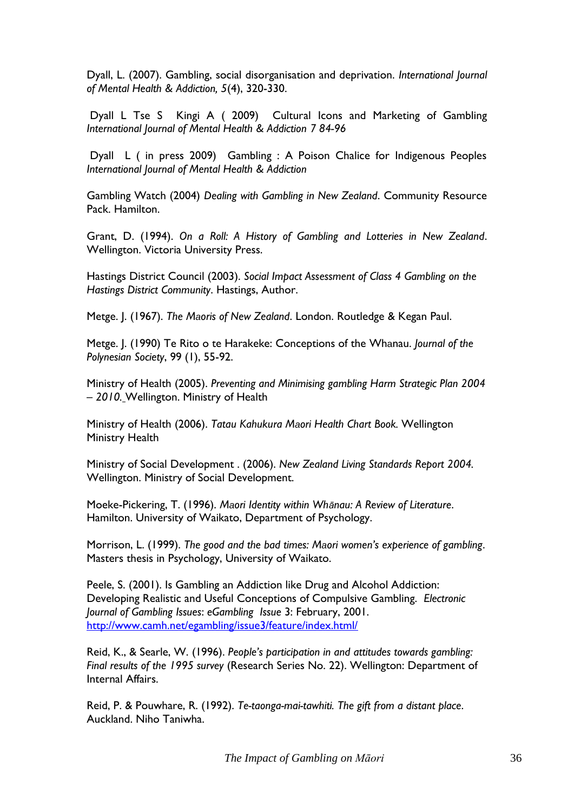Dyall, L. (2007). Gambling, social disorganisation and deprivation. *International Journal of Mental Health & Addiction, 5*(4), 320-330.

Dyall L Tse S Kingi A ( 2009) Cultural Icons and Marketing of Gambling *International Journal of Mental Health & Addiction 7 84-96*

Dyall L ( in press 2009) Gambling : A Poison Chalice for Indigenous Peoples *International Journal of Mental Health & Addiction*

Gambling Watch (2004) *Dealing with Gambling in New Zealand*. Community Resource Pack. Hamilton.

Grant, D. (1994). *On a Roll: A History of Gambling and Lotteries in New Zealand*. Wellington. Victoria University Press.

Hastings District Council (2003). *Social Impact Assessment of Class 4 Gambling on the Hastings District Community*. Hastings, Author.

Metge. J. (1967). *The Maoris of New Zealand*. London. Routledge & Kegan Paul.

Metge. J. (1990) Te Rito o te Harakeke: Conceptions of the Whanau. *Journal of the Polynesian Society*, 99 (1), 55-92.

Ministry of Health (2005). *Preventing and Minimising gambling Harm Strategic Plan 2004 – 2010.* Wellington. Ministry of Health

Ministry of Health (2006). *Tatau Kahukura Maori Health Chart Book.* Wellington Ministry Health

Ministry of Social Development . (2006). *New Zealand Living Standards Report 2004.* Wellington. Ministry of Social Development.

Moeke-Pickering, T. (1996). *Maori Identity within Whānau: A Review of Literature*. Hamilton. University of Waikato, Department of Psychology.

Morrison, L. (1999). *The good and the bad times: Maori women"s experience of gambling*. Masters thesis in Psychology, University of Waikato.

Peele, S. (2001). Is Gambling an Addiction like Drug and Alcohol Addiction: Developing Realistic and Useful Conceptions of Compulsive Gambling. *Electronic Journal of Gambling Issues*: *eGambling Issue* 3: February, 2001. [http://www.camh.net/egambling/issue3/feature/index.html/](http://www.camh.net/egambling/issue3/feature/index.html)

Reid, K., & Searle, W. (1996). *People"s participation in and attitudes towards gambling: Final results of the 1995 survey* (Research Series No. 22). Wellington: Department of Internal Affairs.

Reid, P. & Pouwhare, R. (1992). *Te-taonga-mai-tawhiti. The gift from a distant place*. Auckland. Niho Taniwha.